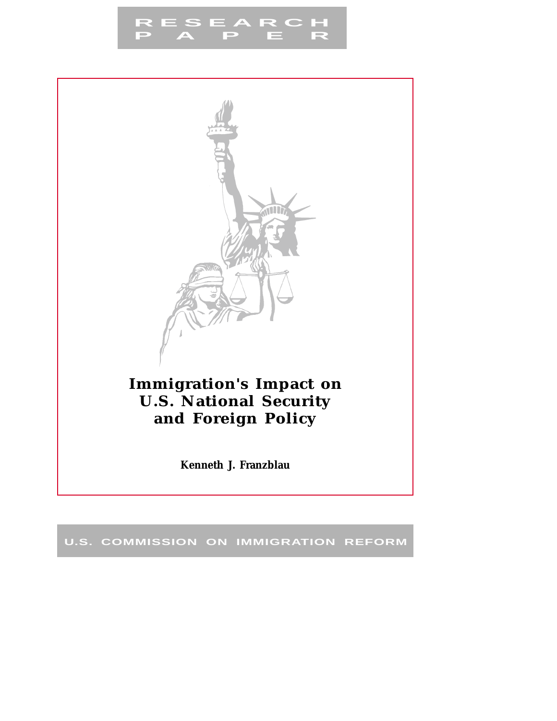

**RESEARCH** RESEARCH<br>P A P E R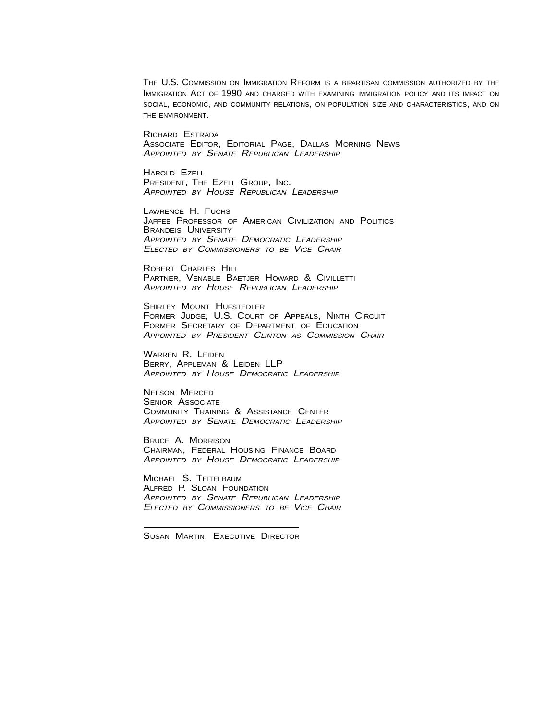THE U.S. COMMISSION ON IMMIGRATION REFORM IS <sup>A</sup> BIPARTISAN COMMISSION AUTHORIZED BY THE IMMIGRATION ACT OF 1990 AND CHARGED WITH EXAMINING IMMIGRATION POLICY AND ITS IMPACT ON SOCIAL, ECONOMIC, AND COMMUNITY RELATIONS, ON POPULATION SIZE AND CHARACTERISTICS, AND ON THE ENVIRONMENT.

RICHARD ESTRADA ASSOCIATE EDITOR, EDITORIAL PAGE, DALLAS MORNING NEWS APPOINTED BY SENATE REPUBLICAN LEADERSHIP

HAROLD EZELL PRESIDENT, THE EZELL GROUP, INC. APPOINTED BY HOUSE REPUBLICAN LEADERSHIP

LAWRENCE H. FUCHS JAFFEE PROFESSOR OF AMERICAN CIVILIZATION AND POLITICS BRANDEIS UNIVERSITY APPOINTED BY SENATE DEMOCRATIC LEADERSHIP ELECTED BY COMMISSIONERS TO BE VICE CHAIR

ROBERT CHARLES HILL PARTNER, VENABLE BAETJER HOWARD & CIVILLETTI APPOINTED BY HOUSE REPUBLICAN LEADERSHIP

SHIRLEY MOUNT HUFSTEDLER FORMER JUDGE, U.S. COURT OF APPEALS, NINTH CIRCUIT FORMER SECRETARY OF DEPARTMENT OF EDUCATION APPOINTED BY PRESIDENT CLINTON AS COMMISSION CHAIR

WARREN R. LEIDEN BERRY, APPLEMAN & LEIDEN LLP APPOINTED BY HOUSE DEMOCRATIC LEADERSHIP

NELSON MERCED SENIOR ASSOCIATE COMMUNITY TRAINING & ASSISTANCE CENTER APPOINTED BY SENATE DEMOCRATIC LEADERSHIP

BRUCE A. MORRISON CHAIRMAN, FEDERAL HOUSING FINANCE BOARD APPOINTED BY HOUSE DEMOCRATIC LEADERSHIP

MICHAEL S. TEITELBAUM ALFRED P. SLOAN FOUNDATION APPOINTED BY SENATE REPUBLICAN LEADERSHIP ELECTED BY COMMISSIONERS TO BE VICE CHAIR

SUSAN MARTIN, EXECUTIVE DIRECTOR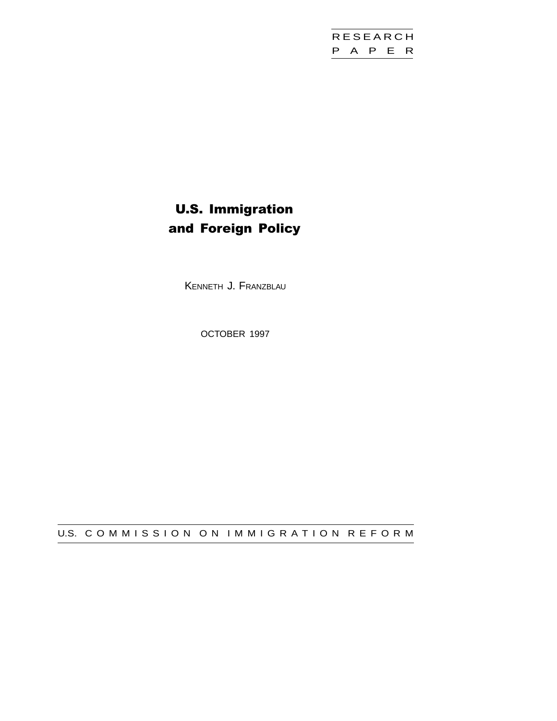

# U.S. Immigration and Foreign Policy

KENNETH J. FRANZBLAU

OCTOBER 1997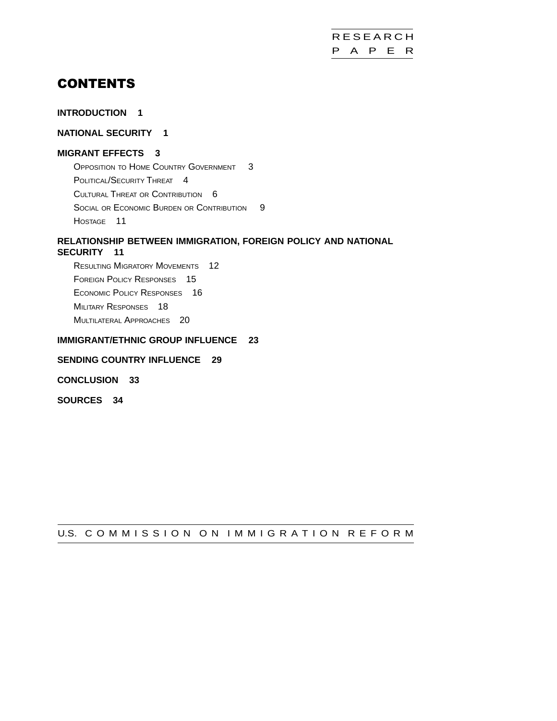# **CONTENTS**

### **[INTRODUCTION 1](#page-6-0)**

### **[NATIONAL SECURITY 1](#page-6-0)**

### **[MIGRANT EFFECTS 3](#page-8-0)**

**OPPOSITION TO HOME COUNTRY GOVERNMENT** 3 [POLITICAL/SECURITY THREAT 4](#page-9-0) CULTURAL THREAT [OR CONTRIBUTION 6](#page-11-0) SOCIAL OR ECONOMIC BURDEN [OR CONTRIBUTION 9](#page-14-0) [HOSTAGE 11](#page-16-0)

# **[RELATIONSHIP BETWEEN IMMIGRATION, FOREIGN POLICY AND NATIONAL](#page-16-0)**

**[SECURITY 11](#page-16-0)**

[RESULTING MIGRATORY MOVEMENTS 12](#page-17-0) [FOREIGN POLICY RESPONSES 15](#page-20-0) [ECONOMIC POLICY RESPONSES 16](#page-21-0) **MILITARY RESPONSES** 18 [MULTILATERAL APPROACHES 20](#page-25-0)

#### **[IMMIGRANT/ETHNIC GROUP INFLUENCE 23](#page-28-0)**

### **[SENDING COUNTRY INFLUENCE 29](#page-34-0)**

**[CONCLUSION 33](#page-38-0)**

**[SOURCES 34](#page-39-0)**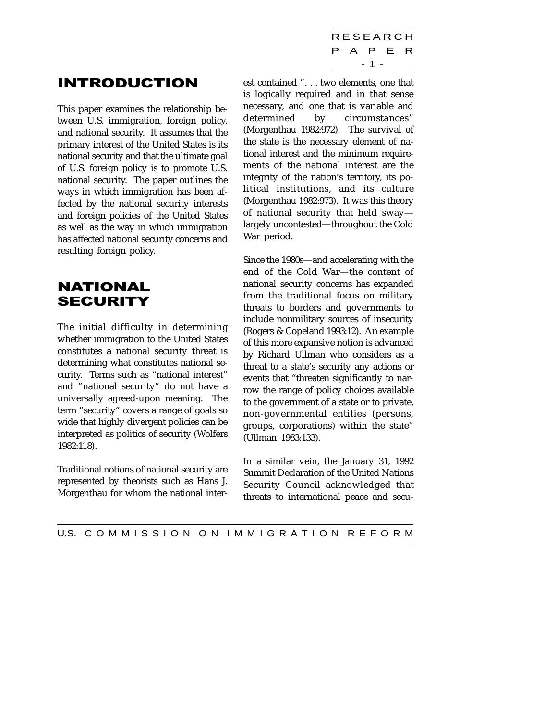RESEARCH P A P E R - 1 -

# <span id="page-6-0"></span>INTRODUCTION

This paper examines the relationship between U.S. immigration, foreign policy, and national security. It assumes that the primary interest of the United States is its national security and that the ultimate goal of U.S. foreign policy is to promote U.S. national security. The paper outlines the ways in which immigration has been affected by the national security interests and foreign policies of the United States as well as the way in which immigration has affected national security concerns and resulting foreign policy.

## NATIONAL SECURITY

The initial difficulty in determining whether immigration to the United States constitutes a national security threat is determining what constitutes national security. Terms such as "national interest" and "national security" do not have a universally agreed-upon meaning. The term "security" covers a range of goals so wide that highly divergent policies can be interpreted as politics of security (Wolfers 1982:118).

Traditional notions of national security are represented by theorists such as Hans J. Morgenthau for whom the national interest contained ". . . two elements, one that is logically required and in that sense necessary, and one that is variable and determined by circumstances" (Morgenthau 1982:972). The survival of the state is the necessary element of national interest and the minimum requirements of the national interest are the integrity of the nation's territory, its political institutions, and its culture (Morgenthau 1982:973). It was this theory of national security that held sway largely uncontested—throughout the Cold War period.

Since the 1980s—and accelerating with the end of the Cold War—the content of national security concerns has expanded from the traditional focus on military threats to borders and governments to include nonmilitary sources of insecurity (Rogers & Copeland 1993:12). An example of this more expansive notion is advanced by Richard Ullman who considers as a threat to a state's security any actions or events that "threaten significantly to narrow the range of policy choices available to the government of a state or to private, non-governmental entities (persons, groups, corporations) within the state" (Ullman 1983:133).

In a similar vein, the January 31, 1992 Summit Declaration of the United Nations Security Council acknowledged that threats to international peace and secu-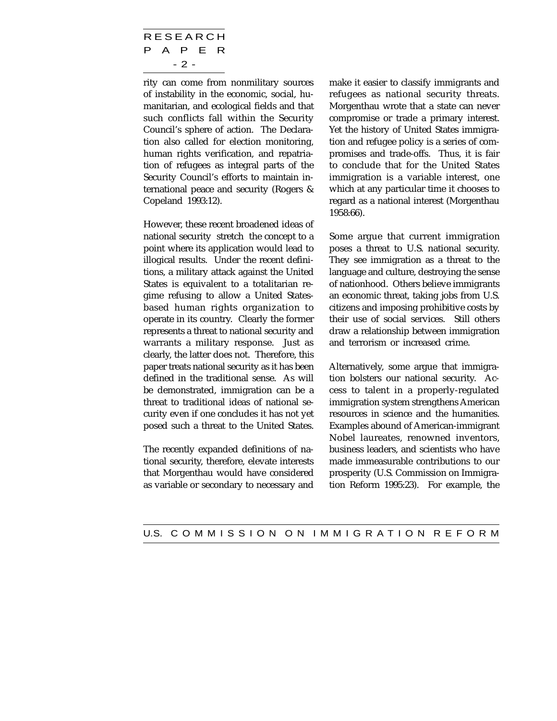RESEARCH P A P E R - 2 -

rity can come from nonmilitary sources of instability in the economic, social, humanitarian, and ecological fields and that such conflicts fall within the Security Council's sphere of action. The Declaration also called for election monitoring, human rights verification, and repatriation of refugees as integral parts of the Security Council's efforts to maintain international peace and security (Rogers & Copeland 1993:12).

However, these recent broadened ideas of national security stretch the concept to a point where its application would lead to illogical results. Under the recent definitions, a military attack against the United States is equivalent to a totalitarian regime refusing to allow a United Statesbased human rights organization to operate in its country. Clearly the former represents a threat to national security and warrants a military response. Just as clearly, the latter does not. Therefore, this paper treats national security as it has been defined in the traditional sense. As will be demonstrated, immigration can be a threat to traditional ideas of national security even if one concludes it has not yet posed such a threat to the United States.

The recently expanded definitions of national security, therefore, elevate interests that Morgenthau would have considered as variable or secondary to necessary and

make it easier to classify immigrants and refugees as national security threats. Morgenthau wrote that a state can never compromise or trade a primary interest. Yet the history of United States immigration and refugee policy is a series of compromises and trade-offs. Thus, it is fair to conclude that for the United States immigration is a variable interest, one which at any particular time it chooses to regard as a national interest (Morgenthau 1958:66).

Some argue that current immigration poses a threat to U.S. national security. They see immigration as a threat to the language and culture, destroying the sense of nationhood. Others believe immigrants an economic threat, taking jobs from U.S. citizens and imposing prohibitive costs by their use of social services. Still others draw a relationship between immigration and terrorism or increased crime.

Alternatively, some argue that immigration bolsters our national security. Access to talent in a properly-regulated immigration system strengthens American resources in science and the humanities. Examples abound of American-immigrant Nobel laureates, renowned inventors, business leaders, and scientists who have made immeasurable contributions to our prosperity (U.S. Commission on Immigration Reform 1995:23). For example, the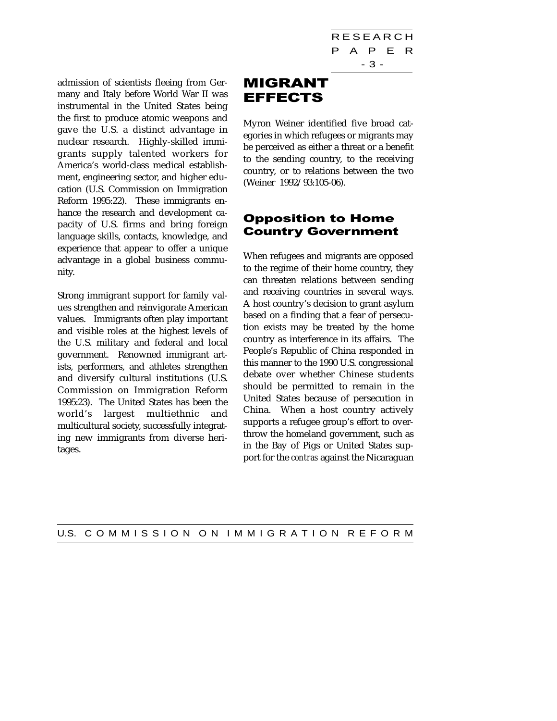<span id="page-8-0"></span>admission of scientists fleeing from Germany and Italy before World War II was instrumental in the United States being the first to produce atomic weapons and gave the U.S. a distinct advantage in nuclear research. Highly-skilled immigrants supply talented workers for America's world-class medical establishment, engineering sector, and higher education (U.S. Commission on Immigration Reform 1995:22). These immigrants enhance the research and development capacity of U.S. firms and bring foreign language skills, contacts, knowledge, and experience that appear to offer a unique advantage in a global business community.

Strong immigrant support for family values strengthen and reinvigorate American values. Immigrants often play important and visible roles at the highest levels of the U.S. military and federal and local government. Renowned immigrant artists, performers, and athletes strengthen and diversify cultural institutions (U.S. Commission on Immigration Reform 1995:23). The United States has been the world's largest multiethnic and multicultural society, successfully integrating new immigrants from diverse heritages.

# MIGRANT EFFECTS

Myron Weiner identified five broad categories in which refugees or migrants may be perceived as either a threat or a benefit to the sending country, to the receiving country, or to relations between the two (Weiner 1992/93:105-06).

## Opposition to Home Country Government

When refugees and migrants are opposed to the regime of their home country, they can threaten relations between sending and receiving countries in several ways. A host country's decision to grant asylum based on a finding that a fear of persecution exists may be treated by the home country as interference in its affairs. The People's Republic of China responded in this manner to the 1990 U.S. congressional debate over whether Chinese students should be permitted to remain in the United States because of persecution in China. When a host country actively supports a refugee group's effort to overthrow the homeland government, such as in the Bay of Pigs or United States support for the *contras* against the Nicaraguan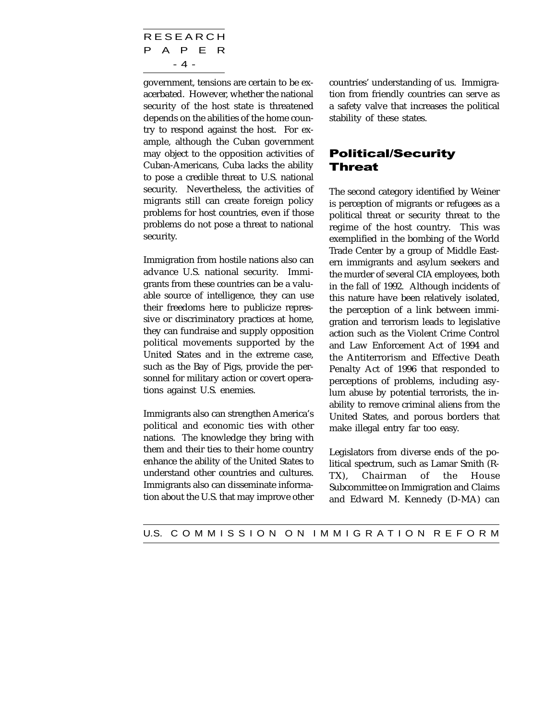<span id="page-9-0"></span>RESEARCH P A P E R - 4 -

government, tensions are certain to be exacerbated. However, whether the national security of the host state is threatened depends on the abilities of the home country to respond against the host. For example, although the Cuban government may object to the opposition activities of Cuban-Americans, Cuba lacks the ability to pose a credible threat to U.S. national security. Nevertheless, the activities of migrants still can create foreign policy problems for host countries, even if those problems do not pose a threat to national security.

Immigration from hostile nations also can advance U.S. national security. Immigrants from these countries can be a valuable source of intelligence, they can use their freedoms here to publicize repressive or discriminatory practices at home, they can fundraise and supply opposition political movements supported by the United States and in the extreme case, such as the Bay of Pigs, provide the personnel for military action or covert operations against U.S. enemies.

Immigrants also can strengthen America's political and economic ties with other nations. The knowledge they bring with them and their ties to their home country enhance the ability of the United States to understand other countries and cultures. Immigrants also can disseminate information about the U.S. that may improve other

countries' understanding of us. Immigration from friendly countries can serve as a safety valve that increases the political stability of these states.

## Political/Security Threat

The second category identified by Weiner is perception of migrants or refugees as a political threat or security threat to the regime of the host country. This was exemplified in the bombing of the World Trade Center by a group of Middle Eastern immigrants and asylum seekers and the murder of several CIA employees, both in the fall of 1992. Although incidents of this nature have been relatively isolated, the perception of a link between immigration and terrorism leads to legislative action such as the Violent Crime Control and Law Enforcement Act of 1994 and the Antiterrorism and Effective Death Penalty Act of 1996 that responded to perceptions of problems, including asylum abuse by potential terrorists, the inability to remove criminal aliens from the United States, and porous borders that make illegal entry far too easy.

Legislators from diverse ends of the political spectrum, such as Lamar Smith (R-TX), Chairman of the House Subcommittee on Immigration and Claims and Edward M. Kennedy (D-MA) can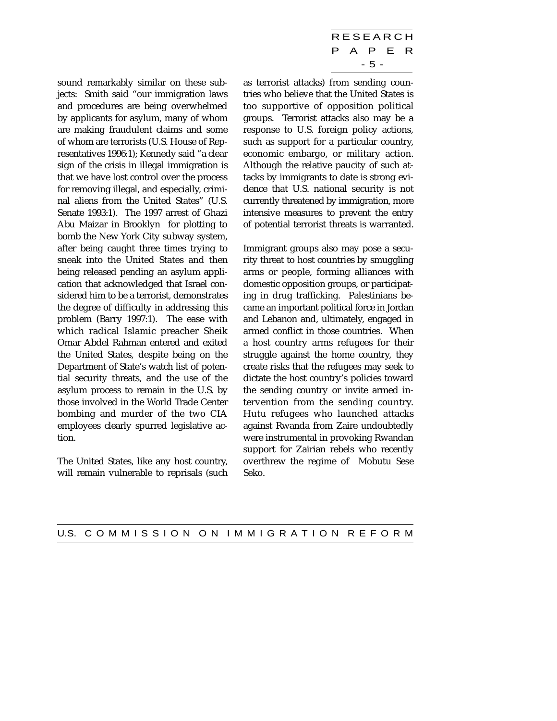RESEARCH P A P E R - 5 -

sound remarkably similar on these subjects: Smith said "our immigration laws and procedures are being overwhelmed by applicants for asylum, many of whom are making fraudulent claims and some of whom are terrorists (U.S. House of Representatives 1996:1); Kennedy said "a clear sign of the crisis in illegal immigration is that we have lost control over the process for removing illegal, and especially, criminal aliens from the United States" (U.S. Senate 1993:1). The 1997 arrest of Ghazi Abu Maizar in Brooklyn for plotting to bomb the New York City subway system, after being caught three times trying to sneak into the United States and then being released pending an asylum application that acknowledged that Israel considered him to be a terrorist, demonstrates the degree of difficulty in addressing this problem (Barry 1997:1). The ease with which radical Islamic preacher Sheik Omar Abdel Rahman entered and exited the United States, despite being on the Department of State's watch list of potential security threats, and the use of the asylum process to remain in the U.S. by those involved in the World Trade Center bombing and murder of the two CIA employees clearly spurred legislative action.

The United States, like any host country, will remain vulnerable to reprisals (such as terrorist attacks) from sending countries who believe that the United States is too supportive of opposition political groups. Terrorist attacks also may be a response to U.S. foreign policy actions, such as support for a particular country, economic embargo, or military action. Although the relative paucity of such attacks by immigrants to date is strong evidence that U.S. national security is not currently threatened by immigration, more intensive measures to prevent the entry of potential terrorist threats is warranted.

Immigrant groups also may pose a security threat to host countries by smuggling arms or people, forming alliances with domestic opposition groups, or participating in drug trafficking. Palestinians became an important political force in Jordan and Lebanon and, ultimately, engaged in armed conflict in those countries. When a host country arms refugees for their struggle against the home country, they create risks that the refugees may seek to dictate the host country's policies toward the sending country or invite armed intervention from the sending country. Hutu refugees who launched attacks against Rwanda from Zaire undoubtedly were instrumental in provoking Rwandan support for Zairian rebels who recently overthrew the regime of Mobutu Sese Seko.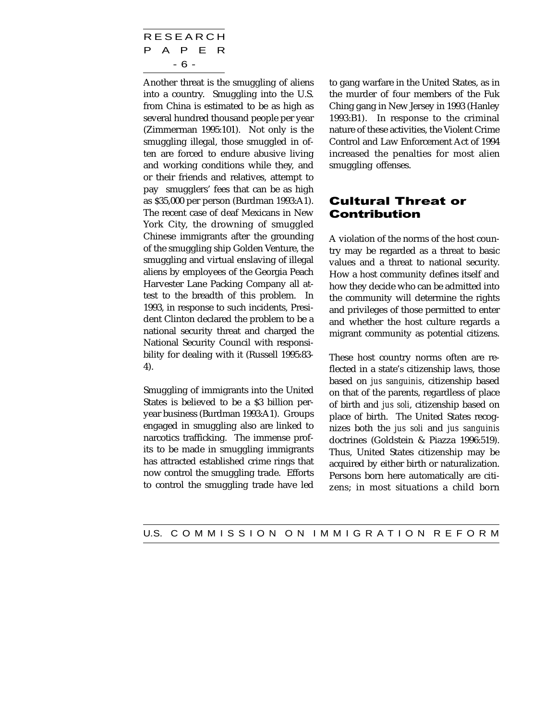<span id="page-11-0"></span>RESEARCH P A P E R - 6 -

Another threat is the smuggling of aliens into a country. Smuggling into the U.S. from China is estimated to be as high as several hundred thousand people per year (Zimmerman 1995:101). Not only is the smuggling illegal, those smuggled in often are forced to endure abusive living and working conditions while they, and or their friends and relatives, attempt to pay smugglers' fees that can be as high as \$35,000 per person (Burdman 1993:A1). The recent case of deaf Mexicans in New York City, the drowning of smuggled Chinese immigrants after the grounding of the smuggling ship Golden Venture, the smuggling and virtual enslaving of illegal aliens by employees of the Georgia Peach Harvester Lane Packing Company all attest to the breadth of this problem. In 1993, in response to such incidents, President Clinton declared the problem to be a national security threat and charged the National Security Council with responsibility for dealing with it (Russell 1995:83- 4).

Smuggling of immigrants into the United States is believed to be a \$3 billion peryear business (Burdman 1993:A1). Groups engaged in smuggling also are linked to narcotics trafficking. The immense profits to be made in smuggling immigrants has attracted established crime rings that now control the smuggling trade. Efforts to control the smuggling trade have led

to gang warfare in the United States, as in the murder of four members of the Fuk Ching gang in New Jersey in 1993 (Hanley 1993:B1). In response to the criminal nature of these activities, the Violent Crime Control and Law Enforcement Act of 1994 increased the penalties for most alien smuggling offenses.

## Cultural Threat or Contribution

A violation of the norms of the host country may be regarded as a threat to basic values and a threat to national security. How a host community defines itself and how they decide who can be admitted into the community will determine the rights and privileges of those permitted to enter and whether the host culture regards a migrant community as potential citizens.

These host country norms often are reflected in a state's citizenship laws, those based on *jus sanguinis*, citizenship based on that of the parents, regardless of place of birth and *jus soli*, citizenship based on place of birth. The United States recognizes both the *jus soli* and *jus sanguinis* doctrines (Goldstein & Piazza 1996:519). Thus, United States citizenship may be acquired by either birth or naturalization. Persons born here automatically are citizens; in most situations a child born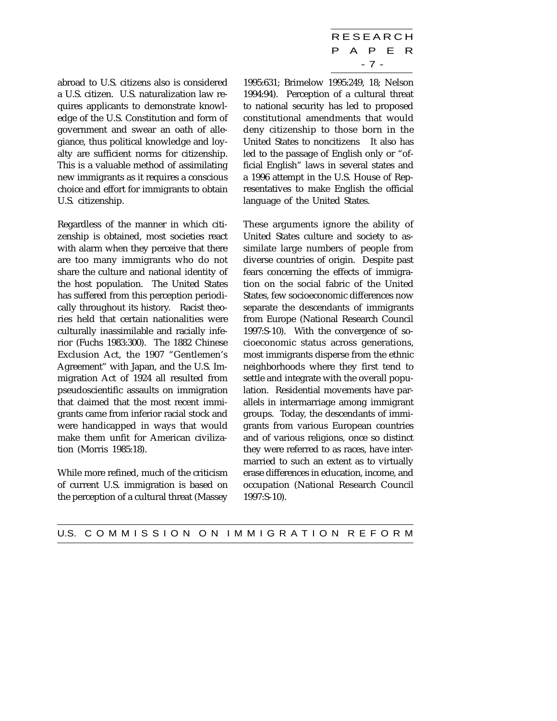RESEARCH P A P E R - 7 -

abroad to U.S. citizens also is considered a U.S. citizen. U.S. naturalization law requires applicants to demonstrate knowledge of the U.S. Constitution and form of government and swear an oath of allegiance, thus political knowledge and loyalty are sufficient norms for citizenship. This is a valuable method of assimilating new immigrants as it requires a conscious choice and effort for immigrants to obtain U.S. citizenship.

Regardless of the manner in which citizenship is obtained, most societies react with alarm when they perceive that there are too many immigrants who do not share the culture and national identity of the host population. The United States has suffered from this perception periodically throughout its history. Racist theories held that certain nationalities were culturally inassimilable and racially inferior (Fuchs 1983:300). The 1882 Chinese Exclusion Act, the 1907 "Gentlemen's Agreement" with Japan, and the U.S. Immigration Act of 1924 all resulted from pseudoscientific assaults on immigration that claimed that the most recent immigrants came from inferior racial stock and were handicapped in ways that would make them unfit for American civilization (Morris 1985:18).

While more refined, much of the criticism of current U.S. immigration is based on the perception of a cultural threat (Massey 1995:631; Brimelow 1995:249, 18; Nelson 1994:94). Perception of a cultural threat to national security has led to proposed constitutional amendments that would deny citizenship to those born in the United States to noncitizens It also has led to the passage of English only or "official English" laws in several states and a 1996 attempt in the U.S. House of Representatives to make English the official language of the United States.

These arguments ignore the ability of United States culture and society to assimilate large numbers of people from diverse countries of origin. Despite past fears concerning the effects of immigration on the social fabric of the United States, few socioeconomic differences now separate the descendants of immigrants from Europe (National Research Council 1997:S-10). With the convergence of socioeconomic status across generations, most immigrants disperse from the ethnic neighborhoods where they first tend to settle and integrate with the overall population. Residential movements have parallels in intermarriage among immigrant groups. Today, the descendants of immigrants from various European countries and of various religions, once so distinct they were referred to as races, have intermarried to such an extent as to virtually erase differences in education, income, and occupation (National Research Council 1997:S-10).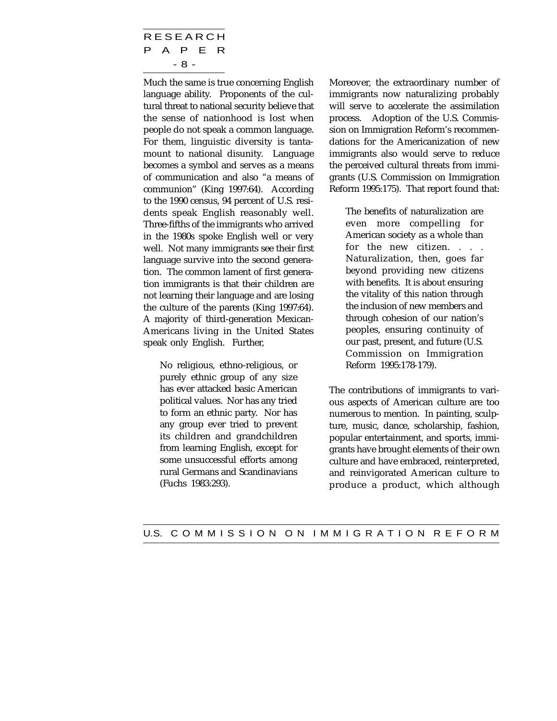RESEARCH P A P E R - 8 -

Much the same is true concerning English language ability. Proponents of the cultural threat to national security believe that the sense of nationhood is lost when people do not speak a common language. For them, linguistic diversity is tantamount to national disunity. Language becomes a symbol and serves as a means of communication and also "a means of communion" (King 1997:64). According to the 1990 census, 94 percent of U.S. residents speak English reasonably well. Three-fifths of the immigrants who arrived in the 1980s spoke English well or very well. Not many immigrants see their first language survive into the second generation. The common lament of first generation immigrants is that their children are not learning their language and are losing the culture of the parents (King 1997:64). A majority of third-generation Mexican-Americans living in the United States speak only English. Further,

No religious, ethno-religious, or purely ethnic group of any size has ever attacked basic American political values. Nor has any tried to form an ethnic party. Nor has any group ever tried to prevent its children and grandchildren from learning English, except for some unsuccessful efforts among rural Germans and Scandinavians (Fuchs 1983:293).

Moreover, the extraordinary number of immigrants now naturalizing probably will serve to accelerate the assimilation process. Adoption of the U.S. Commission on Immigration Reform's recommendations for the Americanization of new immigrants also would serve to reduce the perceived cultural threats from immigrants (U.S. Commission on Immigration Reform 1995:175). That report found that:

The benefits of naturalization are even more compelling for American society as a whole than for the new citizen. . . . Naturalization, then, goes far beyond providing new citizens with benefits. It is about ensuring the vitality of this nation through the inclusion of new members and through cohesion of our nation's peoples, ensuring continuity of our past, present, and future (U.S. Commission on Immigration Reform 1995:178-179).

The contributions of immigrants to various aspects of American culture are too numerous to mention. In painting, sculpture, music, dance, scholarship, fashion, popular entertainment, and sports, immigrants have brought elements of their own culture and have embraced, reinterpreted, and reinvigorated American culture to produce a product, which although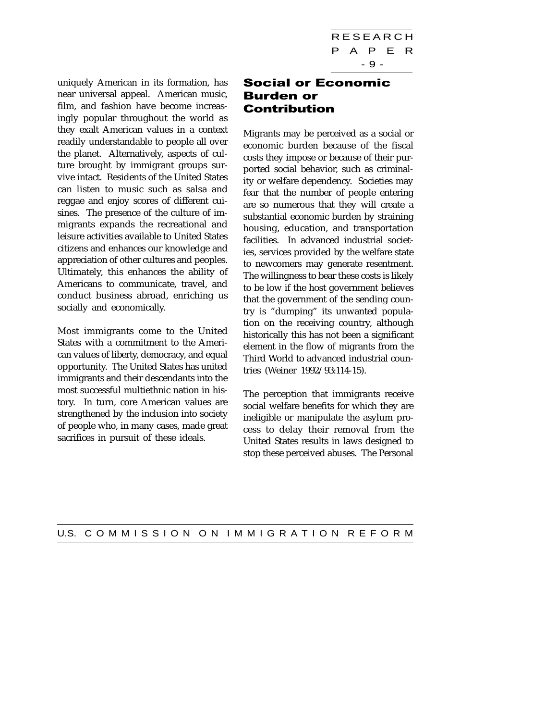<span id="page-14-0"></span>uniquely American in its formation, has near universal appeal. American music, film, and fashion have become increasingly popular throughout the world as they exalt American values in a context readily understandable to people all over the planet. Alternatively, aspects of culture brought by immigrant groups survive intact. Residents of the United States can listen to music such as salsa and reggae and enjoy scores of different cuisines. The presence of the culture of immigrants expands the recreational and leisure activities available to United States citizens and enhances our knowledge and appreciation of other cultures and peoples. Ultimately, this enhances the ability of Americans to communicate, travel, and conduct business abroad, enriching us socially and economically.

Most immigrants come to the United States with a commitment to the American values of liberty, democracy, and equal opportunity. The United States has united immigrants and their descendants into the most successful multiethnic nation in history. In turn, core American values are strengthened by the inclusion into society of people who, in many cases, made great sacrifices in pursuit of these ideals.

## Social or Economic Burden or Contribution

Migrants may be perceived as a social or economic burden because of the fiscal costs they impose or because of their purported social behavior, such as criminality or welfare dependency. Societies may fear that the number of people entering are so numerous that they will create a substantial economic burden by straining housing, education, and transportation facilities. In advanced industrial societies, services provided by the welfare state to newcomers may generate resentment. The willingness to bear these costs is likely to be low if the host government believes that the government of the sending country is "dumping" its unwanted population on the receiving country, although historically this has not been a significant element in the flow of migrants from the Third World to advanced industrial countries (Weiner 1992/93:114-15).

The perception that immigrants receive social welfare benefits for which they are ineligible or manipulate the asylum process to delay their removal from the United States results in laws designed to stop these perceived abuses. The Personal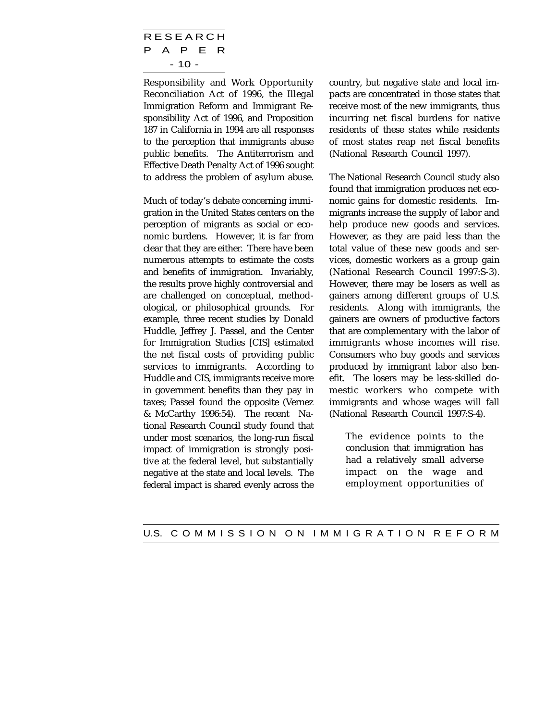## RESEARCH P A P E R - 10 -

Responsibility and Work Opportunity Reconciliation Act of 1996, the Illegal Immigration Reform and Immigrant Responsibility Act of 1996, and Proposition 187 in California in 1994 are all responses to the perception that immigrants abuse public benefits. The Antiterrorism and Effective Death Penalty Act of 1996 sought to address the problem of asylum abuse.

Much of today's debate concerning immigration in the United States centers on the perception of migrants as social or economic burdens. However, it is far from clear that they are either. There have been numerous attempts to estimate the costs and benefits of immigration. Invariably, the results prove highly controversial and are challenged on conceptual, methodological, or philosophical grounds. For example, three recent studies by Donald Huddle, Jeffrey J. Passel, and the Center for Immigration Studies [CIS] estimated the net fiscal costs of providing public services to immigrants. According to Huddle and CIS, immigrants receive more in government benefits than they pay in taxes; Passel found the opposite (Vernez & McCarthy 1996:54). The recent National Research Council study found that under most scenarios, the long-run fiscal impact of immigration is strongly positive at the federal level, but substantially negative at the state and local levels. The federal impact is shared evenly across the country, but negative state and local impacts are concentrated in those states that receive most of the new immigrants, thus incurring net fiscal burdens for native residents of these states while residents of most states reap net fiscal benefits (National Research Council 1997).

The National Research Council study also found that immigration produces net economic gains for domestic residents. Immigrants increase the supply of labor and help produce new goods and services. However, as they are paid less than the total value of these new goods and services, domestic workers as a group gain (National Research Council 1997:S-3). However, there may be losers as well as gainers among different groups of U.S. residents. Along with immigrants, the gainers are owners of productive factors that are complementary with the labor of immigrants whose incomes will rise. Consumers who buy goods and services produced by immigrant labor also benefit. The losers may be less-skilled domestic workers who compete with immigrants and whose wages will fall (National Research Council 1997:S-4).

The evidence points to the conclusion that immigration has had a relatively small adverse impact on the wage and employment opportunities of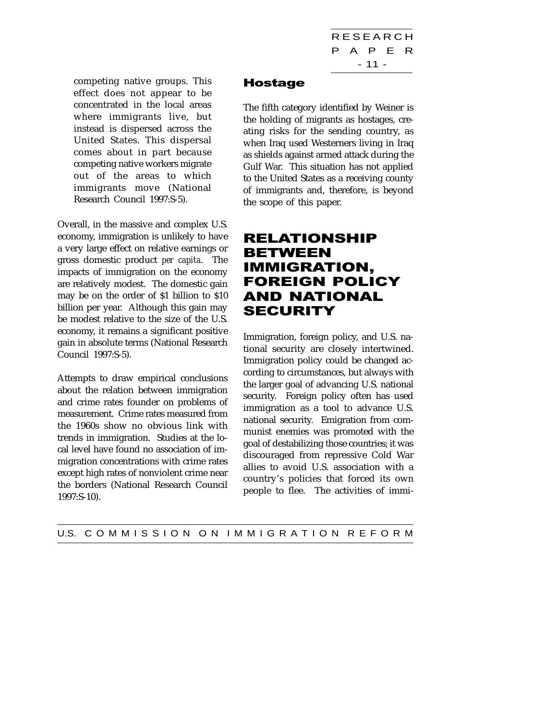RESEARCH P A P E R  $-11 -$ 

<span id="page-16-0"></span>competing native groups. This effect does not appear to be concentrated in the local areas where immigrants live, but instead is dispersed across the United States. This dispersal comes about in part because competing native workers migrate out of the areas to which immigrants move (National Research Council 1997:S-5).

Overall, in the massive and complex U.S. economy, immigration is unlikely to have a very large effect on relative earnings or gross domestic product *per capita*. The impacts of immigration on the economy are relatively modest. The domestic gain may be on the order of \$1 billion to \$10 billion per year. Although this gain may be modest relative to the size of the U.S. economy, it remains a significant positive gain in absolute terms (National Research Council 1997:S-5).

Attempts to draw empirical conclusions about the relation between immigration and crime rates founder on problems of measurement. Crime rates measured from the 1960s show no obvious link with trends in immigration. Studies at the local level have found no association of immigration concentrations with crime rates except high rates of nonviolent crime near the borders (National Research Council 1997:S-10).

## Hostage

The fifth category identified by Weiner is the holding of migrants as hostages, creating risks for the sending country, as when Iraq used Westerners living in Iraq as shields against armed attack during the Gulf War. This situation has not applied to the United States as a receiving county of immigrants and, therefore, is beyond the scope of this paper.

# RELATIONSHIP BETWEEN IMMIGRATION, FOREIGN POLICY AND NATIONAL **SECURITY**

Immigration, foreign policy, and U.S. national security are closely intertwined. Immigration policy could be changed according to circumstances, but always with the larger goal of advancing U.S. national security. Foreign policy often has used immigration as a tool to advance U.S. national security. Emigration from communist enemies was promoted with the goal of destabilizing those countries; it was discouraged from repressive Cold War allies to avoid U.S. association with a country's policies that forced its own people to flee. The activities of immi-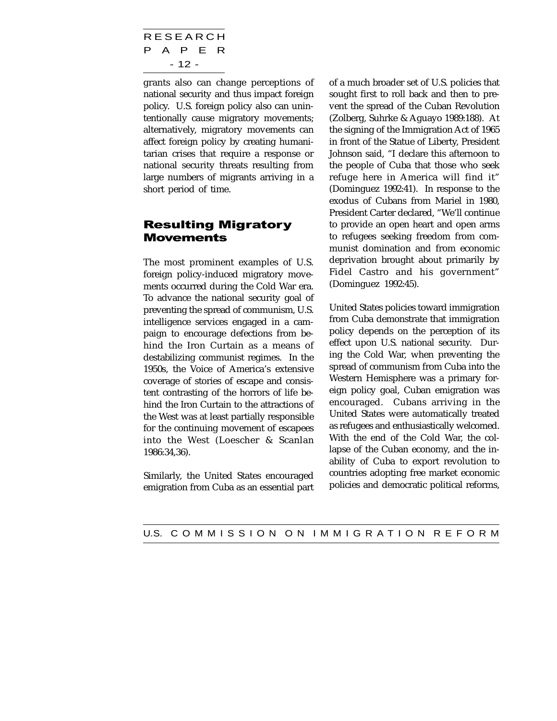<span id="page-17-0"></span>RESEARCH P A P E R - 12 -

grants also can change perceptions of national security and thus impact foreign policy. U.S. foreign policy also can unintentionally cause migratory movements; alternatively, migratory movements can affect foreign policy by creating humanitarian crises that require a response or national security threats resulting from large numbers of migrants arriving in a short period of time.

## Resulting Migratory Movements

The most prominent examples of U.S. foreign policy-induced migratory movements occurred during the Cold War era. To advance the national security goal of preventing the spread of communism, U.S. intelligence services engaged in a campaign to encourage defections from behind the Iron Curtain as a means of destabilizing communist regimes. In the 1950s, the Voice of America's extensive coverage of stories of escape and consistent contrasting of the horrors of life behind the Iron Curtain to the attractions of the West was at least partially responsible for the continuing movement of escapees into the West (Loescher & Scanlan 1986:34,36).

Similarly, the United States encouraged emigration from Cuba as an essential part of a much broader set of U.S. policies that sought first to roll back and then to prevent the spread of the Cuban Revolution (Zolberg, Suhrke & Aguayo 1989:188). At the signing of the Immigration Act of 1965 in front of the Statue of Liberty, President Johnson said, "I declare this afternoon to the people of Cuba that those who seek refuge here in America will find it" (Dominguez 1992:41). In response to the exodus of Cubans from Mariel in 1980, President Carter declared, "We'll continue to provide an open heart and open arms to refugees seeking freedom from communist domination and from economic deprivation brought about primarily by Fidel Castro and his government" (Dominguez 1992:45).

United States policies toward immigration from Cuba demonstrate that immigration policy depends on the perception of its effect upon U.S. national security. During the Cold War, when preventing the spread of communism from Cuba into the Western Hemisphere was a primary foreign policy goal, Cuban emigration was encouraged. Cubans arriving in the United States were automatically treated as refugees and enthusiastically welcomed. With the end of the Cold War, the collapse of the Cuban economy, and the inability of Cuba to export revolution to countries adopting free market economic policies and democratic political reforms,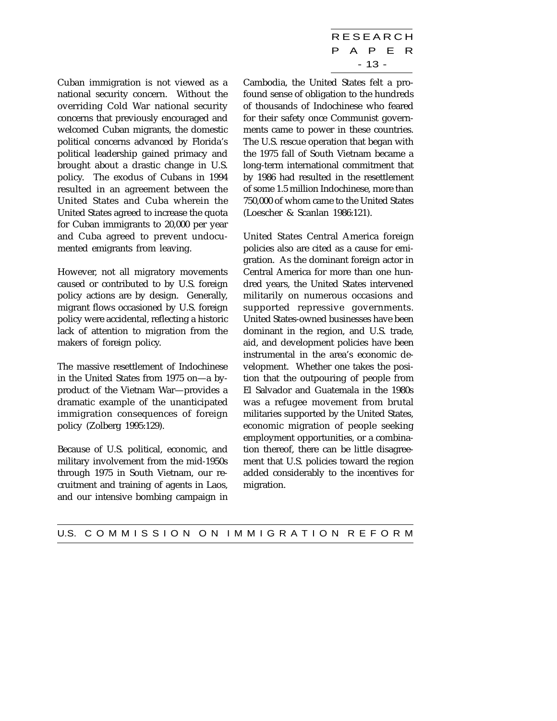RESEARCH P A P E R - 13 -

Cuban immigration is not viewed as a national security concern. Without the overriding Cold War national security concerns that previously encouraged and welcomed Cuban migrants, the domestic political concerns advanced by Florida's political leadership gained primacy and brought about a drastic change in U.S. policy. The exodus of Cubans in 1994 resulted in an agreement between the United States and Cuba wherein the United States agreed to increase the quota for Cuban immigrants to 20,000 per year and Cuba agreed to prevent undocumented emigrants from leaving.

However, not all migratory movements caused or contributed to by U.S. foreign policy actions are by design. Generally, migrant flows occasioned by U.S. foreign policy were accidental, reflecting a historic lack of attention to migration from the makers of foreign policy.

The massive resettlement of Indochinese in the United States from 1975 on—a byproduct of the Vietnam War—provides a dramatic example of the unanticipated immigration consequences of foreign policy (Zolberg 1995:129).

Because of U.S. political, economic, and military involvement from the mid-1950s through 1975 in South Vietnam, our recruitment and training of agents in Laos, and our intensive bombing campaign in Cambodia, the United States felt a profound sense of obligation to the hundreds of thousands of Indochinese who feared for their safety once Communist governments came to power in these countries. The U.S. rescue operation that began with the 1975 fall of South Vietnam became a long-term international commitment that by 1986 had resulted in the resettlement of some 1.5 million Indochinese, more than 750,000 of whom came to the United States (Loescher & Scanlan 1986:121).

United States Central America foreign policies also are cited as a cause for emigration. As the dominant foreign actor in Central America for more than one hundred years, the United States intervened militarily on numerous occasions and supported repressive governments. United States-owned businesses have been dominant in the region, and U.S. trade, aid, and development policies have been instrumental in the area's economic development. Whether one takes the position that the outpouring of people from El Salvador and Guatemala in the 1980s was a refugee movement from brutal militaries supported by the United States, economic migration of people seeking employment opportunities, or a combination thereof, there can be little disagreement that U.S. policies toward the region added considerably to the incentives for migration.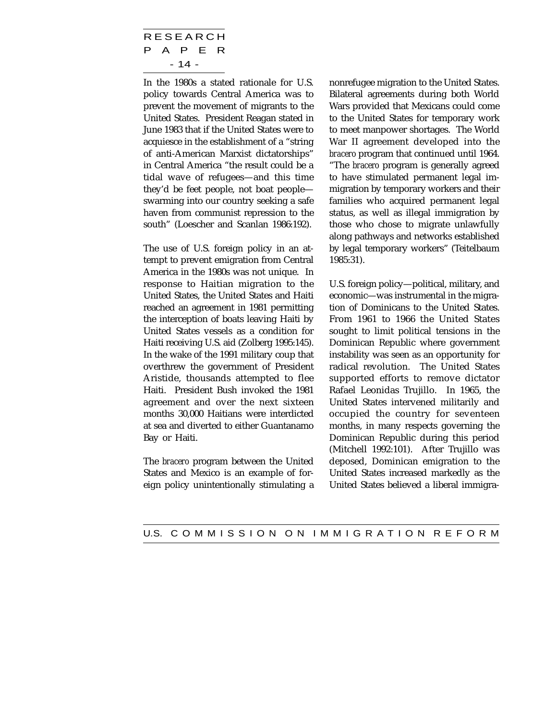RESEARCH P A P E R - 14 -

In the 1980s a stated rationale for U.S. policy towards Central America was to prevent the movement of migrants to the United States. President Reagan stated in June 1983 that if the United States were to acquiesce in the establishment of a "string of anti-American Marxist dictatorships" in Central America "the result could be a tidal wave of refugees—and this time they'd be feet people, not boat people swarming into our country seeking a safe haven from communist repression to the south" (Loescher and Scanlan 1986:192).

The use of U.S. foreign policy in an attempt to prevent emigration from Central America in the 1980s was not unique. In response to Haitian migration to the United States, the United States and Haiti reached an agreement in 1981 permitting the interception of boats leaving Haiti by United States vessels as a condition for Haiti receiving U.S. aid (Zolberg 1995:145). In the wake of the 1991 military coup that overthrew the government of President Aristide, thousands attempted to flee Haiti. President Bush invoked the 1981 agreement and over the next sixteen months 30,000 Haitians were interdicted at sea and diverted to either Guantanamo Bay or Haiti.

The *bracero* program between the United States and Mexico is an example of foreign policy unintentionally stimulating a

nonrefugee migration to the United States. Bilateral agreements during both World Wars provided that Mexicans could come to the United States for temporary work to meet manpower shortages. The World War II agreement developed into the *bracero* program that continued until 1964. "The *bracero* program is generally agreed to have stimulated permanent legal immigration by temporary workers and their families who acquired permanent legal status, as well as illegal immigration by those who chose to migrate unlawfully along pathways and networks established by legal temporary workers" (Teitelbaum 1985:31).

U.S. foreign policy—political, military, and economic—was instrumental in the migration of Dominicans to the United States. From 1961 to 1966 the United States sought to limit political tensions in the Dominican Republic where government instability was seen as an opportunity for radical revolution. The United States supported efforts to remove dictator Rafael Leonidas Trujillo. In 1965, the United States intervened militarily and occupied the country for seventeen months, in many respects governing the Dominican Republic during this period (Mitchell 1992:101). After Trujillo was deposed, Dominican emigration to the United States increased markedly as the United States believed a liberal immigra-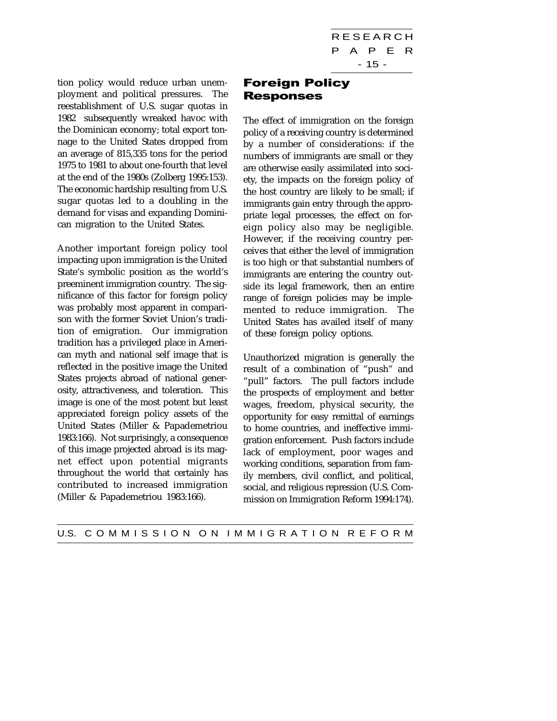RESEARCH P A P E R - 15 -

<span id="page-20-0"></span>tion policy would reduce urban unemployment and political pressures. The reestablishment of U.S. sugar quotas in 1982 subsequently wreaked havoc with the Dominican economy; total export tonnage to the United States dropped from an average of 815,335 tons for the period 1975 to 1981 to about one-fourth that level at the end of the 1980s (Zolberg 1995:153). The economic hardship resulting from U.S. sugar quotas led to a doubling in the demand for visas and expanding Dominican migration to the United States.

Another important foreign policy tool impacting upon immigration is the United State's symbolic position as the world's preeminent immigration country. The significance of this factor for foreign policy was probably most apparent in comparison with the former Soviet Union's tradition of emigration. Our immigration tradition has a privileged place in American myth and national self image that is reflected in the positive image the United States projects abroad of national generosity, attractiveness, and toleration. This image is one of the most potent but least appreciated foreign policy assets of the United States (Miller & Papademetriou 1983:166). Not surprisingly, a consequence of this image projected abroad is its magnet effect upon potential migrants throughout the world that certainly has contributed to increased immigration (Miller & Papademetriou 1983:166).

## Foreign Policy Responses

The effect of immigration on the foreign policy of a receiving country is determined by a number of considerations: if the numbers of immigrants are small or they are otherwise easily assimilated into society, the impacts on the foreign policy of the host country are likely to be small; if immigrants gain entry through the appropriate legal processes, the effect on foreign policy also may be negligible. However, if the receiving country perceives that either the level of immigration is too high or that substantial numbers of immigrants are entering the country outside its legal framework, then an entire range of foreign policies may be implemented to reduce immigration. The United States has availed itself of many of these foreign policy options.

Unauthorized migration is generally the result of a combination of "push" and "pull" factors. The pull factors include the prospects of employment and better wages, freedom, physical security, the opportunity for easy remittal of earnings to home countries, and ineffective immigration enforcement. Push factors include lack of employment, poor wages and working conditions, separation from family members, civil conflict, and political, social, and religious repression (U.S. Commission on Immigration Reform 1994:174).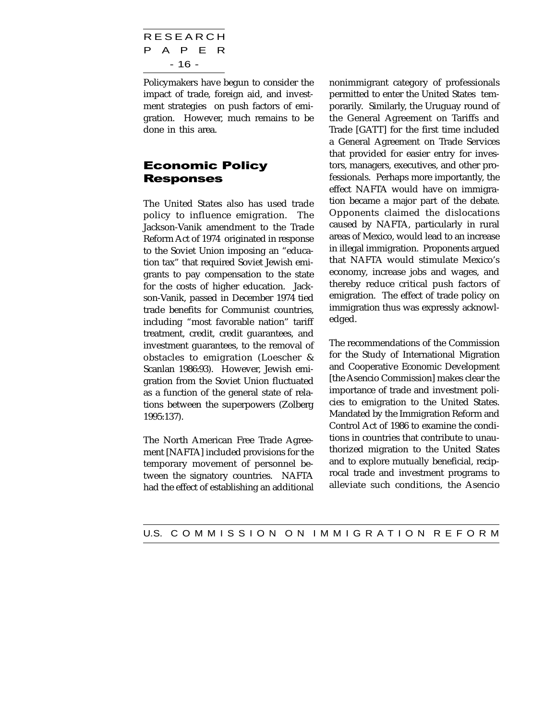<span id="page-21-0"></span>RESEARCH P A P E R - 16 -

Policymakers have begun to consider the impact of trade, foreign aid, and investment strategies on push factors of emigration. However, much remains to be done in this area.

## Economic Policy Responses

The United States also has used trade policy to influence emigration. The Jackson-Vanik amendment to the Trade Reform Act of 1974 originated in response to the Soviet Union imposing an "education tax" that required Soviet Jewish emigrants to pay compensation to the state for the costs of higher education. Jackson-Vanik, passed in December 1974 tied trade benefits for Communist countries, including "most favorable nation" tariff treatment, credit, credit guarantees, and investment guarantees, to the removal of obstacles to emigration (Loescher & Scanlan 1986:93). However, Jewish emigration from the Soviet Union fluctuated as a function of the general state of relations between the superpowers (Zolberg 1995:137).

The North American Free Trade Agreement [NAFTA] included provisions for the temporary movement of personnel between the signatory countries. NAFTA had the effect of establishing an additional

nonimmigrant category of professionals permitted to enter the United States temporarily. Similarly, the Uruguay round of the General Agreement on Tariffs and Trade [GATT] for the first time included a General Agreement on Trade Services that provided for easier entry for investors, managers, executives, and other professionals. Perhaps more importantly, the effect NAFTA would have on immigration became a major part of the debate. Opponents claimed the dislocations caused by NAFTA, particularly in rural areas of Mexico, would lead to an increase in illegal immigration. Proponents argued that NAFTA would stimulate Mexico's economy, increase jobs and wages, and thereby reduce critical push factors of emigration. The effect of trade policy on immigration thus was expressly acknowledged.

The recommendations of the Commission for the Study of International Migration and Cooperative Economic Development [the Asencio Commission] makes clear the importance of trade and investment policies to emigration to the United States. Mandated by the Immigration Reform and Control Act of 1986 to examine the conditions in countries that contribute to unauthorized migration to the United States and to explore mutually beneficial, reciprocal trade and investment programs to alleviate such conditions, the Asencio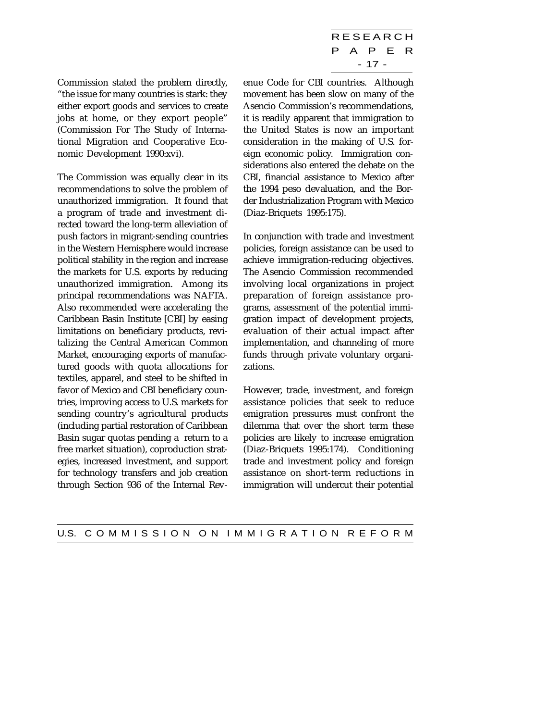RESEARCH P A P E R - 17 -

Commission stated the problem directly, "the issue for many countries is stark: they either export goods and services to create jobs at home, or they export people" (Commission For The Study of International Migration and Cooperative Economic Development 1990:xvi).

The Commission was equally clear in its recommendations to solve the problem of unauthorized immigration. It found that a program of trade and investment directed toward the long-term alleviation of push factors in migrant-sending countries in the Western Hemisphere would increase political stability in the region and increase the markets for U.S. exports by reducing unauthorized immigration. Among its principal recommendations was NAFTA. Also recommended were accelerating the Caribbean Basin Institute [CBI] by easing limitations on beneficiary products, revitalizing the Central American Common Market, encouraging exports of manufactured goods with quota allocations for textiles, apparel, and steel to be shifted in favor of Mexico and CBI beneficiary countries, improving access to U.S. markets for sending country's agricultural products (including partial restoration of Caribbean Basin sugar quotas pending a return to a free market situation), coproduction strategies, increased investment, and support for technology transfers and job creation through Section 936 of the Internal Revenue Code for CBI countries. Although movement has been slow on many of the Asencio Commission's recommendations, it is readily apparent that immigration to the United States is now an important consideration in the making of U.S. foreign economic policy. Immigration considerations also entered the debate on the CBI, financial assistance to Mexico after the 1994 peso devaluation, and the Border Industrialization Program with Mexico (Diaz-Briquets 1995:175).

In conjunction with trade and investment policies, foreign assistance can be used to achieve immigration-reducing objectives. The Asencio Commission recommended involving local organizations in project preparation of foreign assistance programs, assessment of the potential immigration impact of development projects, evaluation of their actual impact after implementation, and channeling of more funds through private voluntary organizations.

However, trade, investment, and foreign assistance policies that seek to reduce emigration pressures must confront the dilemma that over the short term these policies are likely to increase emigration (Diaz-Briquets 1995:174). Conditioning trade and investment policy and foreign assistance on short-term reductions in immigration will undercut their potential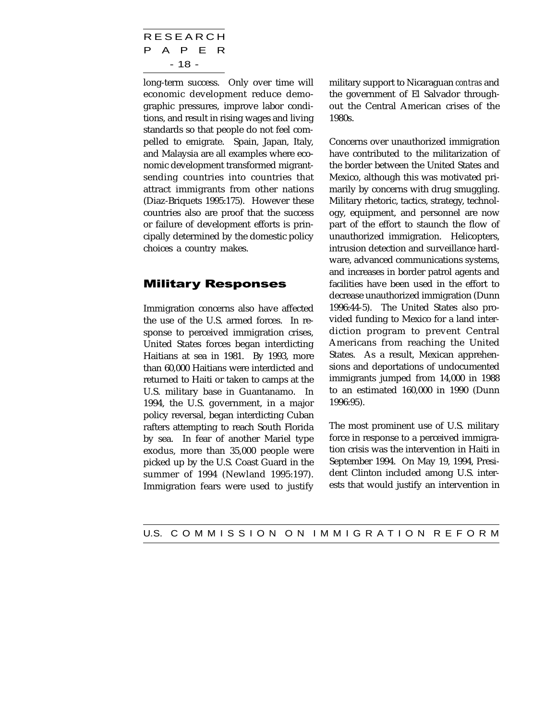<span id="page-23-0"></span>RESEARCH P A P E R - 18 -

long-term success. Only over time will economic development reduce demographic pressures, improve labor conditions, and result in rising wages and living standards so that people do not feel compelled to emigrate. Spain, Japan, Italy, and Malaysia are all examples where economic development transformed migrantsending countries into countries that attract immigrants from other nations (Diaz-Briquets 1995:175). However these countries also are proof that the success or failure of development efforts is principally determined by the domestic policy choices a country makes.

## Military Responses

Immigration concerns also have affected the use of the U.S. armed forces. In response to perceived immigration crises, United States forces began interdicting Haitians at sea in 1981. By 1993, more than 60,000 Haitians were interdicted and returned to Haiti or taken to camps at the U.S. military base in Guantanamo. In 1994, the U.S. government, in a major policy reversal, began interdicting Cuban rafters attempting to reach South Florida by sea. In fear of another Mariel type exodus, more than 35,000 people were picked up by the U.S. Coast Guard in the summer of 1994 (Newland 1995:197). Immigration fears were used to justify

military support to Nicaraguan *contras* and the government of El Salvador throughout the Central American crises of the 1980s.

Concerns over unauthorized immigration have contributed to the militarization of the border between the United States and Mexico, although this was motivated primarily by concerns with drug smuggling. Military rhetoric, tactics, strategy, technology, equipment, and personnel are now part of the effort to staunch the flow of unauthorized immigration. Helicopters, intrusion detection and surveillance hardware, advanced communications systems, and increases in border patrol agents and facilities have been used in the effort to decrease unauthorized immigration (Dunn 1996:44-5). The United States also provided funding to Mexico for a land interdiction program to prevent Central Americans from reaching the United States. As a result, Mexican apprehensions and deportations of undocumented immigrants jumped from 14,000 in 1988 to an estimated 160,000 in 1990 (Dunn 1996:95).

The most prominent use of U.S. military force in response to a perceived immigration crisis was the intervention in Haiti in September 1994. On May 19, 1994, President Clinton included among U.S. interests that would justify an intervention in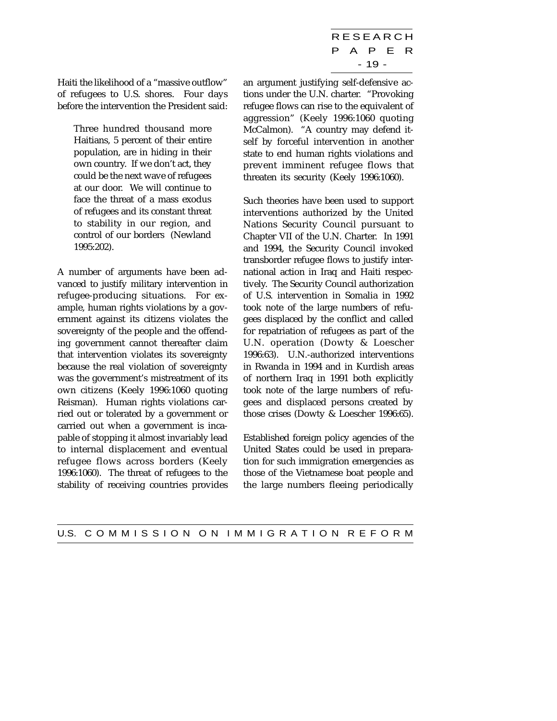RESEARCH P A P E R - 19 -

Haiti the likelihood of a "massive outflow" of refugees to U.S. shores. Four days before the intervention the President said:

Three hundred thousand more Haitians, 5 percent of their entire population, are in hiding in their own country. If we don't act, they could be the next wave of refugees at our door. We will continue to face the threat of a mass exodus of refugees and its constant threat to stability in our region, and control of our borders (Newland 1995:202).

A number of arguments have been advanced to justify military intervention in refugee-producing situations. For example, human rights violations by a government against its citizens violates the sovereignty of the people and the offending government cannot thereafter claim that intervention violates its sovereignty because the real violation of sovereignty was the government's mistreatment of its own citizens (Keely 1996:1060 quoting Reisman). Human rights violations carried out or tolerated by a government or carried out when a government is incapable of stopping it almost invariably lead to internal displacement and eventual refugee flows across borders (Keely 1996:1060). The threat of refugees to the stability of receiving countries provides

an argument justifying self-defensive actions under the U.N. charter. "Provoking refugee flows can rise to the equivalent of aggression" (Keely 1996:1060 quoting McCalmon). "A country may defend itself by forceful intervention in another state to end human rights violations and prevent imminent refugee flows that threaten its security (Keely 1996:1060).

Such theories have been used to support interventions authorized by the United Nations Security Council pursuant to Chapter VII of the U.N. Charter. In 1991 and 1994, the Security Council invoked transborder refugee flows to justify international action in Iraq and Haiti respectively. The Security Council authorization of U.S. intervention in Somalia in 1992 took note of the large numbers of refugees displaced by the conflict and called for repatriation of refugees as part of the U.N. operation (Dowty & Loescher 1996:63). U.N.-authorized interventions in Rwanda in 1994 and in Kurdish areas of northern Iraq in 1991 both explicitly took note of the large numbers of refugees and displaced persons created by those crises (Dowty & Loescher 1996:65).

Established foreign policy agencies of the United States could be used in preparation for such immigration emergencies as those of the Vietnamese boat people and the large numbers fleeing periodically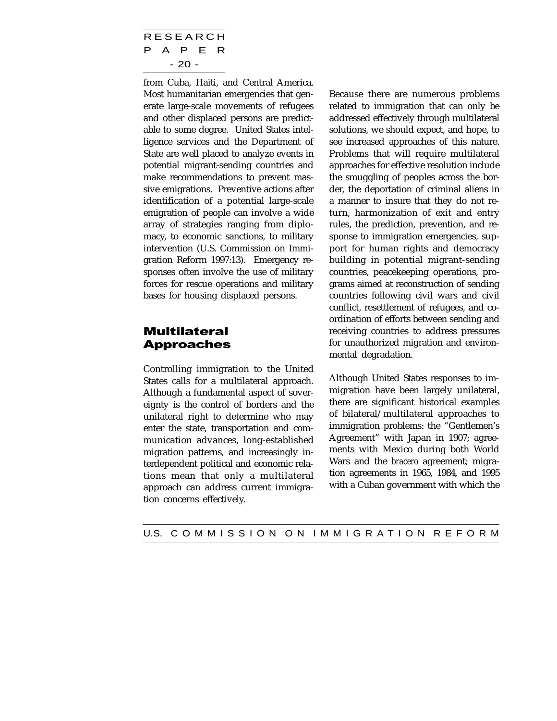<span id="page-25-0"></span>RESEARCH P A P E R - 20 -

from Cuba, Haiti, and Central America. Most humanitarian emergencies that generate large-scale movements of refugees and other displaced persons are predictable to some degree. United States intelligence services and the Department of State are well placed to analyze events in potential migrant-sending countries and make recommendations to prevent massive emigrations. Preventive actions after identification of a potential large-scale emigration of people can involve a wide array of strategies ranging from diplomacy, to economic sanctions, to military intervention (U.S. Commission on Immigration Reform 1997:13). Emergency responses often involve the use of military forces for rescue operations and military bases for housing displaced persons.

## Multilateral Approaches

Controlling immigration to the United States calls for a multilateral approach. Although a fundamental aspect of sovereignty is the control of borders and the unilateral right to determine who may enter the state, transportation and communication advances, long-established migration patterns, and increasingly interdependent political and economic relations mean that only a multilateral approach can address current immigration concerns effectively.

Because there are numerous problems related to immigration that can only be addressed effectively through multilateral solutions, we should expect, and hope, to see increased approaches of this nature. Problems that will require multilateral approaches for effective resolution include the smuggling of peoples across the border, the deportation of criminal aliens in a manner to insure that they do not return, harmonization of exit and entry rules, the prediction, prevention, and response to immigration emergencies, support for human rights and democracy building in potential migrant-sending countries, peacekeeping operations, programs aimed at reconstruction of sending countries following civil wars and civil conflict, resettlement of refugees, and coordination of efforts between sending and receiving countries to address pressures for unauthorized migration and environmental degradation.

Although United States responses to immigration have been largely unilateral, there are significant historical examples of bilateral/multilateral approaches to immigration problems: the "Gentlemen's Agreement" with Japan in 1907; agreements with Mexico during both World Wars and the *bracero* agreement; migration agreements in 1965, 1984, and 1995 with a Cuban government with which the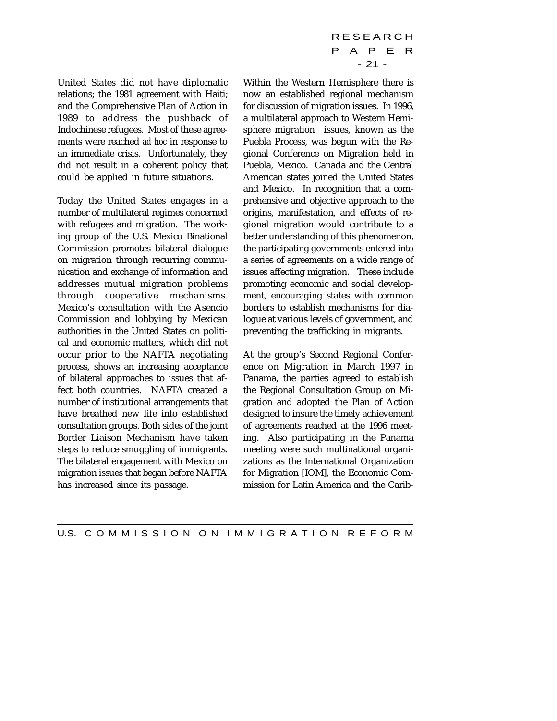RESEARCH P A P E R - 21 -

United States did not have diplomatic relations; the 1981 agreement with Haiti; and the Comprehensive Plan of Action in 1989 to address the pushback of Indochinese refugees. Most of these agreements were reached *ad hoc* in response to an immediate crisis. Unfortunately, they did not result in a coherent policy that could be applied in future situations.

Today the United States engages in a number of multilateral regimes concerned with refugees and migration. The working group of the U.S. Mexico Binational Commission promotes bilateral dialogue on migration through recurring communication and exchange of information and addresses mutual migration problems through cooperative mechanisms. Mexico's consultation with the Asencio Commission and lobbying by Mexican authorities in the United States on political and economic matters, which did not occur prior to the NAFTA negotiating process, shows an increasing acceptance of bilateral approaches to issues that affect both countries. NAFTA created a number of institutional arrangements that have breathed new life into established consultation groups. Both sides of the joint Border Liaison Mechanism have taken steps to reduce smuggling of immigrants. The bilateral engagement with Mexico on migration issues that began before NAFTA has increased since its passage.

Within the Western Hemisphere there is now an established regional mechanism for discussion of migration issues. In 1996, a multilateral approach to Western Hemisphere migration issues, known as the Puebla Process, was begun with the Regional Conference on Migration held in Puebla, Mexico. Canada and the Central American states joined the United States and Mexico. In recognition that a comprehensive and objective approach to the origins, manifestation, and effects of regional migration would contribute to a better understanding of this phenomenon, the participating governments entered into a series of agreements on a wide range of issues affecting migration. These include promoting economic and social development, encouraging states with common borders to establish mechanisms for dialogue at various levels of government, and preventing the trafficking in migrants.

At the group's Second Regional Conference on Migration in March 1997 in Panama, the parties agreed to establish the Regional Consultation Group on Migration and adopted the Plan of Action designed to insure the timely achievement of agreements reached at the 1996 meeting. Also participating in the Panama meeting were such multinational organizations as the International Organization for Migration [IOM], the Economic Commission for Latin America and the Carib-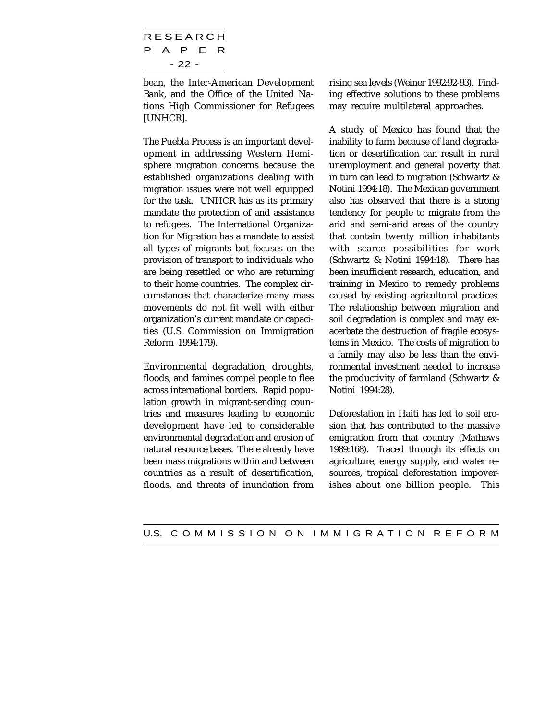RESEARCH P A P E R - 22 -

bean, the Inter-American Development Bank, and the Office of the United Nations High Commissioner for Refugees [UNHCR].

The Puebla Process is an important development in addressing Western Hemisphere migration concerns because the established organizations dealing with migration issues were not well equipped for the task. UNHCR has as its primary mandate the protection of and assistance to refugees. The International Organization for Migration has a mandate to assist all types of migrants but focuses on the provision of transport to individuals who are being resettled or who are returning to their home countries. The complex circumstances that characterize many mass movements do not fit well with either organization's current mandate or capacities (U.S. Commission on Immigration Reform 1994:179).

Environmental degradation, droughts, floods, and famines compel people to flee across international borders. Rapid population growth in migrant-sending countries and measures leading to economic development have led to considerable environmental degradation and erosion of natural resource bases. There already have been mass migrations within and between countries as a result of desertification, floods, and threats of inundation from

rising sea levels (Weiner 1992:92-93). Finding effective solutions to these problems may require multilateral approaches.

A study of Mexico has found that the inability to farm because of land degradation or desertification can result in rural unemployment and general poverty that in turn can lead to migration (Schwartz & Notini 1994:18). The Mexican government also has observed that there is a strong tendency for people to migrate from the arid and semi-arid areas of the country that contain twenty million inhabitants with scarce possibilities for work (Schwartz & Notini 1994:18). There has been insufficient research, education, and training in Mexico to remedy problems caused by existing agricultural practices. The relationship between migration and soil degradation is complex and may exacerbate the destruction of fragile ecosystems in Mexico. The costs of migration to a family may also be less than the environmental investment needed to increase the productivity of farmland (Schwartz & Notini 1994:28).

Deforestation in Haiti has led to soil erosion that has contributed to the massive emigration from that country (Mathews 1989:168). Traced through its effects on agriculture, energy supply, and water resources, tropical deforestation impoverishes about one billion people. This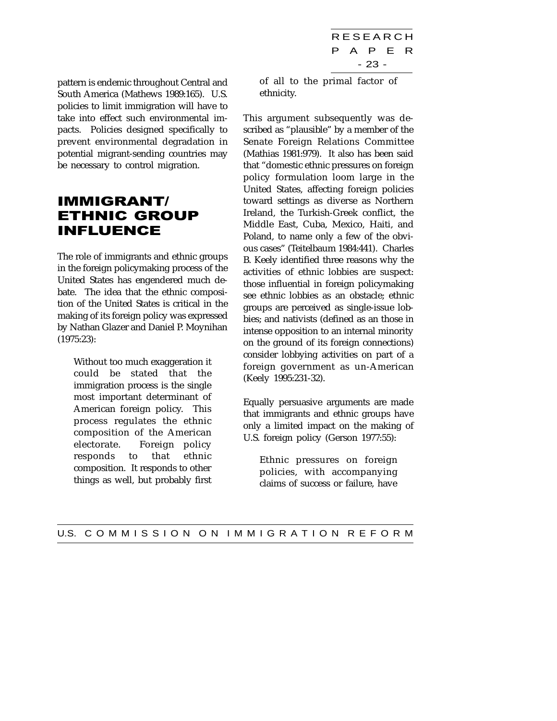RESEARCH P A P E R - 23 -

<span id="page-28-0"></span>pattern is endemic throughout Central and South America (Mathews 1989:165). U.S. policies to limit immigration will have to take into effect such environmental impacts. Policies designed specifically to prevent environmental degradation in potential migrant-sending countries may be necessary to control migration.

# IMMIGRANT/ ETHNIC GROUP INFLUENCE

The role of immigrants and ethnic groups in the foreign policymaking process of the United States has engendered much debate. The idea that the ethnic composition of the United States is critical in the making of its foreign policy was expressed by Nathan Glazer and Daniel P. Moynihan (1975:23):

Without too much exaggeration it could be stated that the immigration process is the single most important determinant of American foreign policy. This process regulates the ethnic composition of the American electorate. Foreign policy responds to that ethnic composition. It responds to other things as well, but probably first of all to the primal factor of ethnicity.

This argument subsequently was described as "plausible" by a member of the Senate Foreign Relations Committee (Mathias 1981:979). It also has been said that "domestic ethnic pressures on foreign policy formulation loom large in the United States, affecting foreign policies toward settings as diverse as Northern Ireland, the Turkish-Greek conflict, the Middle East, Cuba, Mexico, Haiti, and Poland, to name only a few of the obvious cases" (Teitelbaum 1984:441). Charles B. Keely identified three reasons why the activities of ethnic lobbies are suspect: those influential in foreign policymaking see ethnic lobbies as an obstacle; ethnic groups are perceived as single-issue lobbies; and nativists (defined as an those in intense opposition to an internal minority on the ground of its foreign connections) consider lobbying activities on part of a foreign government as un-American (Keely 1995:231-32).

Equally persuasive arguments are made that immigrants and ethnic groups have only a limited impact on the making of U.S. foreign policy (Gerson 1977:55):

Ethnic pressures on foreign policies, with accompanying claims of success or failure, have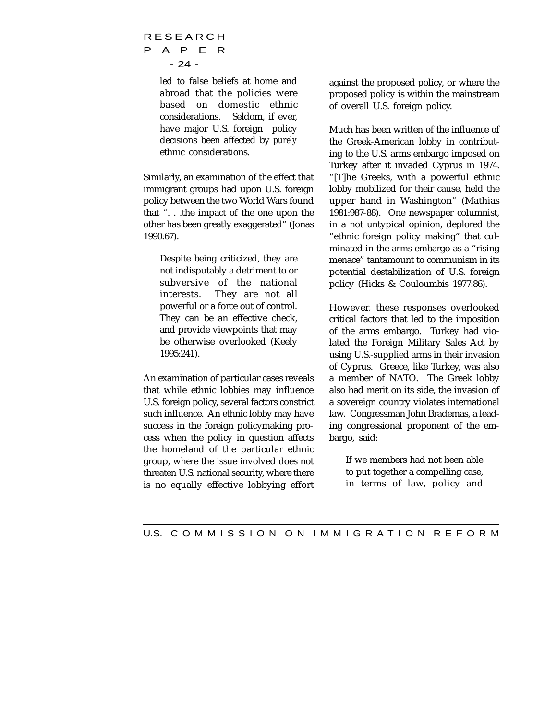## RESEARCH P A P E R - 24 -

led to false beliefs at home and abroad that the policies were based on domestic ethnic considerations. Seldom, if ever, have major U.S. foreign policy decisions been affected by *purely* ethnic considerations.

Similarly, an examination of the effect that immigrant groups had upon U.S. foreign policy between the two World Wars found that ". . .the impact of the one upon the other has been greatly exaggerated" (Jonas 1990:67).

Despite being criticized, they are not indisputably a detriment to or subversive of the national interests. They are not all powerful or a force out of control. They can be an effective check, and provide viewpoints that may be otherwise overlooked (Keely 1995:241).

An examination of particular cases reveals that while ethnic lobbies may influence U.S. foreign policy, several factors constrict such influence. An ethnic lobby may have success in the foreign policymaking process when the policy in question affects the homeland of the particular ethnic group, where the issue involved does not threaten U.S. national security, where there is no equally effective lobbying effort

against the proposed policy, or where the proposed policy is within the mainstream of overall U.S. foreign policy.

Much has been written of the influence of the Greek-American lobby in contributing to the U.S. arms embargo imposed on Turkey after it invaded Cyprus in 1974. "[T]he Greeks, with a powerful ethnic lobby mobilized for their cause, held the upper hand in Washington" (Mathias 1981:987-88). One newspaper columnist, in a not untypical opinion, deplored the "ethnic foreign policy making" that culminated in the arms embargo as a "rising menace" tantamount to communism in its potential destabilization of U.S. foreign policy (Hicks & Couloumbis 1977:86).

However, these responses overlooked critical factors that led to the imposition of the arms embargo. Turkey had violated the Foreign Military Sales Act by using U.S.-supplied arms in their invasion of Cyprus. Greece, like Turkey, was also a member of NATO. The Greek lobby also had merit on its side, the invasion of a sovereign country violates international law. Congressman John Brademas, a leading congressional proponent of the embargo, said:

If we members had not been able to put together a compelling case, in terms of law, policy and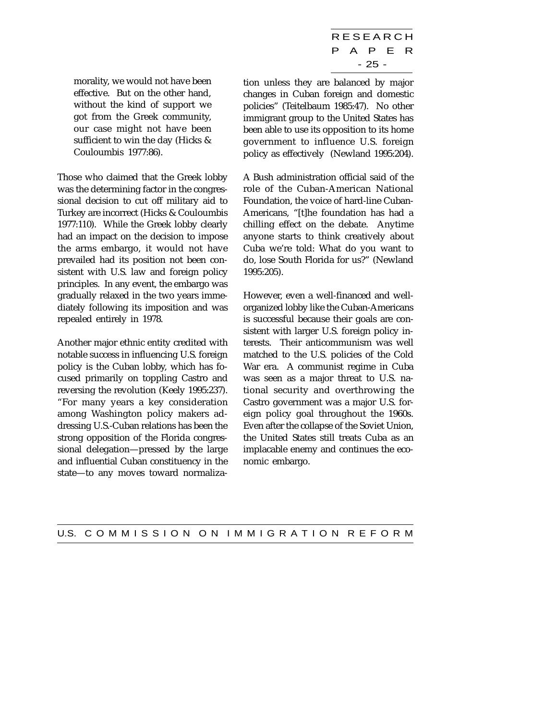RESEARCH P A P E R - 25 -

morality, we would not have been effective. But on the other hand, without the kind of support we got from the Greek community, our case might not have been sufficient to win the day (Hicks & Couloumbis 1977:86).

Those who claimed that the Greek lobby was the determining factor in the congressional decision to cut off military aid to Turkey are incorrect (Hicks & Couloumbis 1977:110). While the Greek lobby clearly had an impact on the decision to impose the arms embargo, it would not have prevailed had its position not been consistent with U.S. law and foreign policy principles. In any event, the embargo was gradually relaxed in the two years immediately following its imposition and was repealed entirely in 1978.

Another major ethnic entity credited with notable success in influencing U.S. foreign policy is the Cuban lobby, which has focused primarily on toppling Castro and reversing the revolution (Keely 1995:237). "For many years a key consideration among Washington policy makers addressing U.S.-Cuban relations has been the strong opposition of the Florida congressional delegation—pressed by the large and influential Cuban constituency in the state—to any moves toward normalization unless they are balanced by major changes in Cuban foreign and domestic policies" (Teitelbaum 1985:47). No other immigrant group to the United States has been able to use its opposition to its home government to influence U.S. foreign policy as effectively (Newland 1995:204).

A Bush administration official said of the role of the Cuban-American National Foundation, the voice of hard-line Cuban-Americans, "[t]he foundation has had a chilling effect on the debate. Anytime anyone starts to think creatively about Cuba we're told: What do you want to do, lose South Florida for us?" (Newland 1995:205).

However, even a well-financed and wellorganized lobby like the Cuban-Americans is successful because their goals are consistent with larger U.S. foreign policy interests. Their anticommunism was well matched to the U.S. policies of the Cold War era. A communist regime in Cuba was seen as a major threat to U.S. national security and overthrowing the Castro government was a major U.S. foreign policy goal throughout the 1960s. Even after the collapse of the Soviet Union, the United States still treats Cuba as an implacable enemy and continues the economic embargo.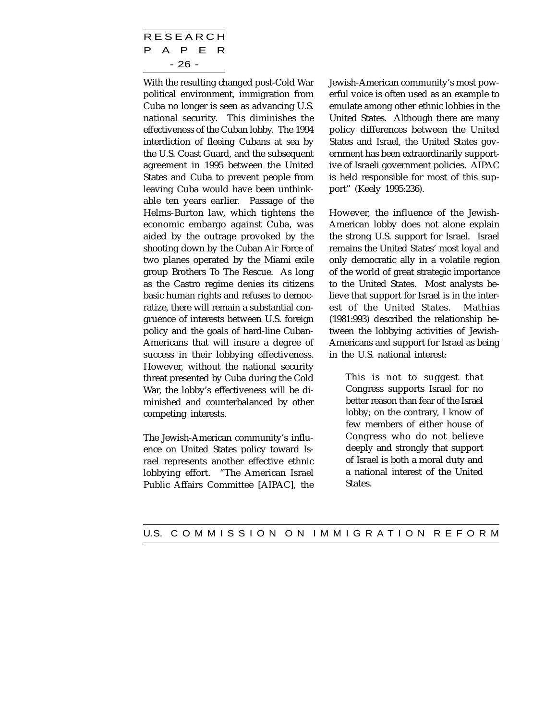## RESEARCH P A P E R - 26 -

With the resulting changed post-Cold War political environment, immigration from Cuba no longer is seen as advancing U.S. national security. This diminishes the effectiveness of the Cuban lobby. The 1994 interdiction of fleeing Cubans at sea by the U.S. Coast Guard, and the subsequent agreement in 1995 between the United States and Cuba to prevent people from leaving Cuba would have been unthinkable ten years earlier. Passage of the Helms-Burton law, which tightens the economic embargo against Cuba, was aided by the outrage provoked by the shooting down by the Cuban Air Force of two planes operated by the Miami exile group Brothers To The Rescue. As long as the Castro regime denies its citizens basic human rights and refuses to democratize, there will remain a substantial congruence of interests between U.S. foreign policy and the goals of hard-line Cuban-Americans that will insure a degree of success in their lobbying effectiveness. However, without the national security threat presented by Cuba during the Cold War, the lobby's effectiveness will be diminished and counterbalanced by other competing interests.

The Jewish-American community's influence on United States policy toward Israel represents another effective ethnic lobbying effort. "The American Israel Public Affairs Committee [AIPAC], the

Jewish-American community's most powerful voice is often used as an example to emulate among other ethnic lobbies in the United States. Although there are many policy differences between the United States and Israel, the United States government has been extraordinarily supportive of Israeli government policies. AIPAC is held responsible for most of this support" (Keely 1995:236).

However, the influence of the Jewish-American lobby does not alone explain the strong U.S. support for Israel. Israel remains the United States' most loyal and only democratic ally in a volatile region of the world of great strategic importance to the United States. Most analysts believe that support for Israel is in the interest of the United States. Mathias (1981:993) described the relationship between the lobbying activities of Jewish-Americans and support for Israel as being in the U.S. national interest:

This is not to suggest that Congress supports Israel for no better reason than fear of the Israel lobby; on the contrary, I know of few members of either house of Congress who do not believe deeply and strongly that support of Israel is both a moral duty and a national interest of the United States.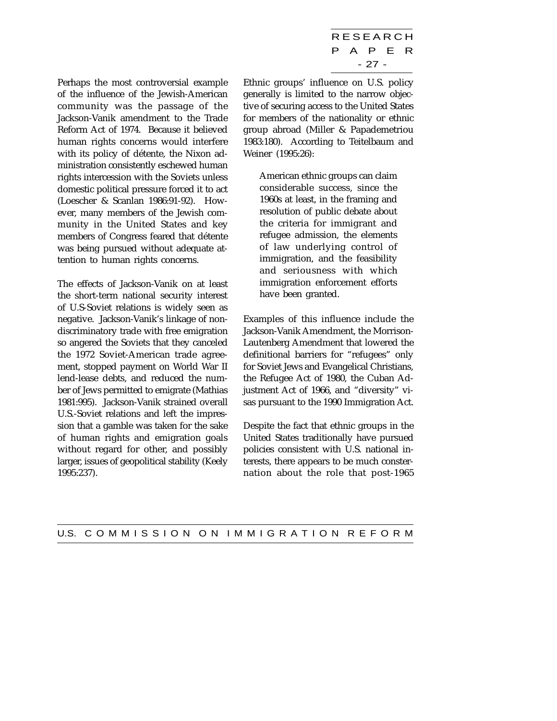RESEARCH P A P E R - 27 -

Perhaps the most controversial example of the influence of the Jewish-American community was the passage of the Jackson-Vanik amendment to the Trade Reform Act of 1974. Because it believed human rights concerns would interfere with its policy of détente, the Nixon administration consistently eschewed human rights intercession with the Soviets unless domestic political pressure forced it to act (Loescher & Scanlan 1986:91-92). However, many members of the Jewish community in the United States and key members of Congress feared that détente was being pursued without adequate attention to human rights concerns.

The effects of Jackson-Vanik on at least the short-term national security interest of U.S-Soviet relations is widely seen as negative. Jackson-Vanik's linkage of nondiscriminatory trade with free emigration so angered the Soviets that they canceled the 1972 Soviet-American trade agreement, stopped payment on World War II lend-lease debts, and reduced the number of Jews permitted to emigrate (Mathias 1981:995). Jackson-Vanik strained overall U.S.-Soviet relations and left the impression that a gamble was taken for the sake of human rights and emigration goals without regard for other, and possibly larger, issues of geopolitical stability (Keely 1995:237).

Ethnic groups' influence on U.S. policy generally is limited to the narrow objective of securing access to the United States for members of the nationality or ethnic group abroad (Miller & Papademetriou 1983:180). According to Teitelbaum and Weiner (1995:26):

American ethnic groups can claim considerable success, since the 1960s at least, in the framing and resolution of public debate about the criteria for immigrant and refugee admission, the elements of law underlying control of immigration, and the feasibility and seriousness with which immigration enforcement efforts have been granted.

Examples of this influence include the Jackson-Vanik Amendment, the Morrison-Lautenberg Amendment that lowered the definitional barriers for "refugees" only for Soviet Jews and Evangelical Christians, the Refugee Act of 1980, the Cuban Adjustment Act of 1966, and "diversity" visas pursuant to the 1990 Immigration Act.

Despite the fact that ethnic groups in the United States traditionally have pursued policies consistent with U.S. national interests, there appears to be much consternation about the role that post-1965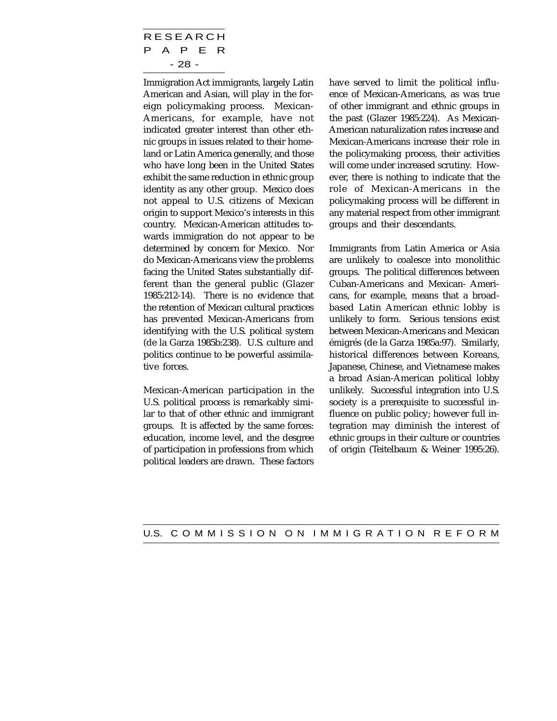## RESEARCH P A P E R - 28 -

Immigration Act immigrants, largely Latin American and Asian, will play in the foreign policymaking process. Mexican-Americans, for example, have not indicated greater interest than other ethnic groups in issues related to their homeland or Latin America generally, and those who have long been in the United States exhibit the same reduction in ethnic group identity as any other group. Mexico does not appeal to U.S. citizens of Mexican origin to support Mexico's interests in this country. Mexican-American attitudes towards immigration do not appear to be determined by concern for Mexico. Nor do Mexican-Americans view the problems facing the United States substantially different than the general public (Glazer 1985:212-14). There is no evidence that the retention of Mexican cultural practices has prevented Mexican-Americans from identifying with the U.S. political system (de la Garza 1985b:238). U.S. culture and politics continue to be powerful assimilative forces.

Mexican-American participation in the U.S. political process is remarkably similar to that of other ethnic and immigrant groups. It is affected by the same forces: education, income level, and the desgree of participation in professions from which political leaders are drawn. These factors

have served to limit the political influence of Mexican-Americans, as was true of other immigrant and ethnic groups in the past (Glazer 1985:224). As Mexican-American naturalization rates increase and Mexican-Americans increase their role in the policymaking process, their activities will come under increased scrutiny. However, there is nothing to indicate that the role of Mexican-Americans in the policymaking process will be different in any material respect from other immigrant groups and their descendants.

Immigrants from Latin America or Asia are unlikely to coalesce into monolithic groups. The political differences between Cuban-Americans and Mexican- Americans, for example, means that a broadbased Latin American ethnic lobby is unlikely to form. Serious tensions exist between Mexican-Americans and Mexican émigrés (de la Garza 1985a:97). Similarly, historical differences between Koreans, Japanese, Chinese, and Vietnamese makes a broad Asian-American political lobby unlikely. Successful integration into U.S. society is a prerequisite to successful influence on public policy; however full integration may diminish the interest of ethnic groups in their culture or countries of origin (Teitelbaum & Weiner 1995:26).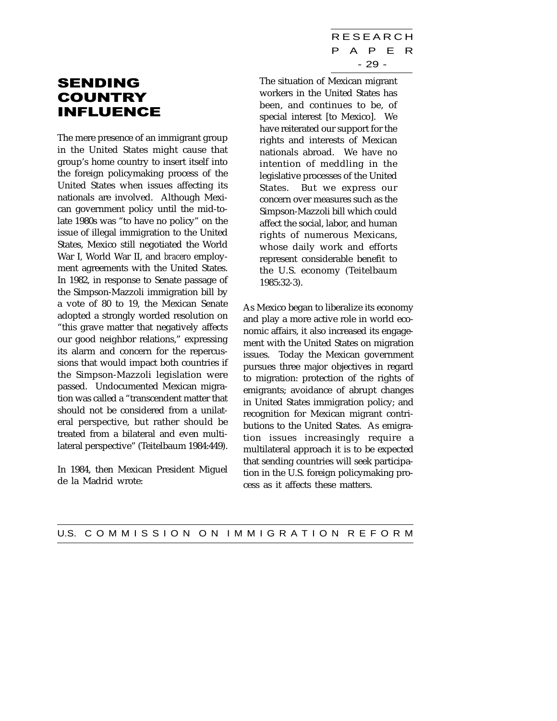RESEARCH P A P E R - 29 -

# <span id="page-34-0"></span>SENDING COUNTRY INFLUENCE

The mere presence of an immigrant group in the United States might cause that group's home country to insert itself into the foreign policymaking process of the United States when issues affecting its nationals are involved. Although Mexican government policy until the mid-tolate 1980s was "to have no policy" on the issue of illegal immigration to the United States, Mexico still negotiated the World War I, World War II, and *bracero* employment agreements with the United States. In 1982, in response to Senate passage of the Simpson-Mazzoli immigration bill by a vote of 80 to 19, the Mexican Senate adopted a strongly worded resolution on "this grave matter that negatively affects our good neighbor relations," expressing its alarm and concern for the repercussions that would impact both countries if the Simpson-Mazzoli legislation were passed. Undocumented Mexican migration was called a "transcendent matter that should not be considered from a unilateral perspective, but rather should be treated from a bilateral and even multilateral perspective" (Teitelbaum 1984:449).

In 1984, then Mexican President Miguel de la Madrid wrote:

The situation of Mexican migrant workers in the United States has been, and continues to be, of special interest [to Mexico]. We have reiterated our support for the rights and interests of Mexican nationals abroad. We have no intention of meddling in the legislative processes of the United States. But we express our concern over measures such as the Simpson-Mazzoli bill which could affect the social, labor, and human rights of numerous Mexicans, whose daily work and efforts represent considerable benefit to the U.S. economy (Teitelbaum 1985:32-3).

As Mexico began to liberalize its economy and play a more active role in world economic affairs, it also increased its engagement with the United States on migration issues. Today the Mexican government pursues three major objectives in regard to migration: protection of the rights of emigrants; avoidance of abrupt changes in United States immigration policy; and recognition for Mexican migrant contributions to the United States. As emigration issues increasingly require a multilateral approach it is to be expected that sending countries will seek participation in the U.S. foreign policymaking process as it affects these matters.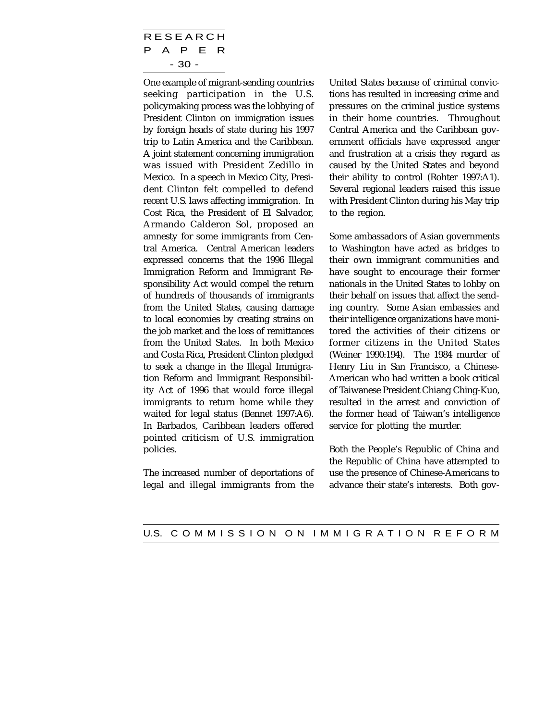RESEARCH P A P E R - 30 -

One example of migrant-sending countries seeking participation in the U.S. policymaking process was the lobbying of President Clinton on immigration issues by foreign heads of state during his 1997 trip to Latin America and the Caribbean. A joint statement concerning immigration was issued with President Zedillo in Mexico. In a speech in Mexico City, President Clinton felt compelled to defend recent U.S. laws affecting immigration. In Cost Rica, the President of El Salvador, Armando Calderon Sol, proposed an amnesty for some immigrants from Central America. Central American leaders expressed concerns that the 1996 Illegal Immigration Reform and Immigrant Responsibility Act would compel the return of hundreds of thousands of immigrants from the United States, causing damage to local economies by creating strains on the job market and the loss of remittances from the United States. In both Mexico and Costa Rica, President Clinton pledged to seek a change in the Illegal Immigration Reform and Immigrant Responsibility Act of 1996 that would force illegal immigrants to return home while they waited for legal status (Bennet 1997:A6). In Barbados, Caribbean leaders offered pointed criticism of U.S. immigration policies.

The increased number of deportations of legal and illegal immigrants from the

United States because of criminal convictions has resulted in increasing crime and pressures on the criminal justice systems in their home countries. Throughout Central America and the Caribbean government officials have expressed anger and frustration at a crisis they regard as caused by the United States and beyond their ability to control (Rohter 1997:A1). Several regional leaders raised this issue with President Clinton during his May trip to the region.

Some ambassadors of Asian governments to Washington have acted as bridges to their own immigrant communities and have sought to encourage their former nationals in the United States to lobby on their behalf on issues that affect the sending country. Some Asian embassies and their intelligence organizations have monitored the activities of their citizens or former citizens in the United States (Weiner 1990:194). The 1984 murder of Henry Liu in San Francisco, a Chinese-American who had written a book critical of Taiwanese President Chiang Ching-Kuo, resulted in the arrest and conviction of the former head of Taiwan's intelligence service for plotting the murder.

Both the People's Republic of China and the Republic of China have attempted to use the presence of Chinese-Americans to advance their state's interests. Both gov-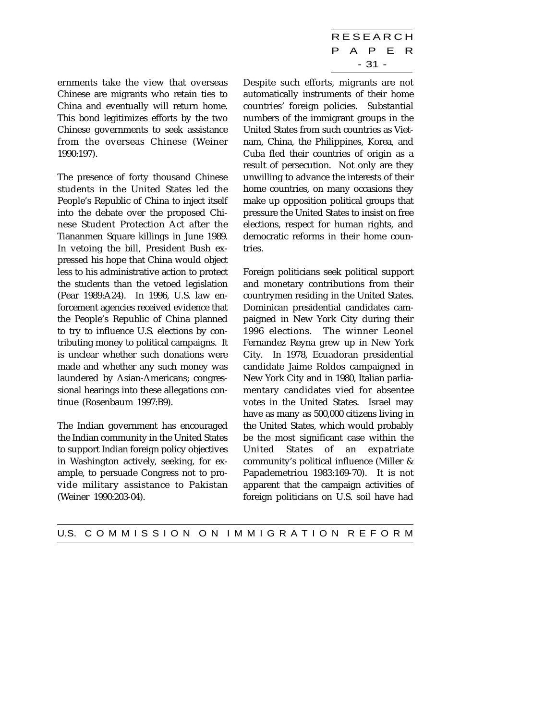RESEARCH P A P E R - 31 -

ernments take the view that overseas Chinese are migrants who retain ties to China and eventually will return home. This bond legitimizes efforts by the two Chinese governments to seek assistance from the overseas Chinese (Weiner 1990:197).

The presence of forty thousand Chinese students in the United States led the People's Republic of China to inject itself into the debate over the proposed Chinese Student Protection Act after the Tiananmen Square killings in June 1989. In vetoing the bill, President Bush expressed his hope that China would object less to his administrative action to protect the students than the vetoed legislation (Pear 1989:A24). In 1996, U.S. law enforcement agencies received evidence that the People's Republic of China planned to try to influence U.S. elections by contributing money to political campaigns. It is unclear whether such donations were made and whether any such money was laundered by Asian-Americans; congressional hearings into these allegations continue (Rosenbaum 1997:B9).

The Indian government has encouraged the Indian community in the United States to support Indian foreign policy objectives in Washington actively, seeking, for example, to persuade Congress not to provide military assistance to Pakistan (Weiner 1990:203-04).

Despite such efforts, migrants are not automatically instruments of their home countries' foreign policies. Substantial numbers of the immigrant groups in the United States from such countries as Vietnam, China, the Philippines, Korea, and Cuba fled their countries of origin as a result of persecution. Not only are they unwilling to advance the interests of their home countries, on many occasions they make up opposition political groups that pressure the United States to insist on free elections, respect for human rights, and democratic reforms in their home countries.

Foreign politicians seek political support and monetary contributions from their countrymen residing in the United States. Dominican presidential candidates campaigned in New York City during their 1996 elections. The winner Leonel Fernandez Reyna grew up in New York City. In 1978, Ecuadoran presidential candidate Jaime Roldos campaigned in New York City and in 1980, Italian parliamentary candidates vied for absentee votes in the United States. Israel may have as many as 500,000 citizens living in the United States, which would probably be the most significant case within the United States of an expatriate community's political influence (Miller & Papademetriou 1983:169-70). It is not apparent that the campaign activities of foreign politicians on U.S. soil have had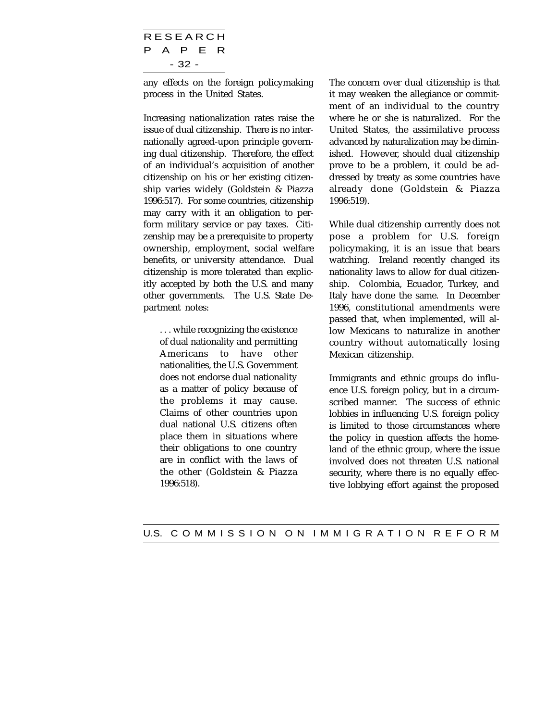RESEARCH P A P E R - 32 -

any effects on the foreign policymaking process in the United States.

Increasing nationalization rates raise the issue of dual citizenship. There is no internationally agreed-upon principle governing dual citizenship. Therefore, the effect of an individual's acquisition of another citizenship on his or her existing citizenship varies widely (Goldstein & Piazza 1996:517). For some countries, citizenship may carry with it an obligation to perform military service or pay taxes. Citizenship may be a prerequisite to property ownership, employment, social welfare benefits, or university attendance. Dual citizenship is more tolerated than explicitly accepted by both the U.S. and many other governments. The U.S. State Department notes:

. . . while recognizing the existence of dual nationality and permitting Americans to have other nationalities, the U.S. Government does not endorse dual nationality as a matter of policy because of the problems it may cause. Claims of other countries upon dual national U.S. citizens often place them in situations where their obligations to one country are in conflict with the laws of the other (Goldstein & Piazza 1996:518).

The concern over dual citizenship is that it may weaken the allegiance or commitment of an individual to the country where he or she is naturalized. For the United States, the assimilative process advanced by naturalization may be diminished. However, should dual citizenship prove to be a problem, it could be addressed by treaty as some countries have already done (Goldstein & Piazza 1996:519).

While dual citizenship currently does not pose a problem for U.S. foreign policymaking, it is an issue that bears watching. Ireland recently changed its nationality laws to allow for dual citizenship. Colombia, Ecuador, Turkey, and Italy have done the same. In December 1996, constitutional amendments were passed that, when implemented, will allow Mexicans to naturalize in another country without automatically losing Mexican citizenship.

Immigrants and ethnic groups do influence U.S. foreign policy, but in a circumscribed manner. The success of ethnic lobbies in influencing U.S. foreign policy is limited to those circumstances where the policy in question affects the homeland of the ethnic group, where the issue involved does not threaten U.S. national security, where there is no equally effective lobbying effort against the proposed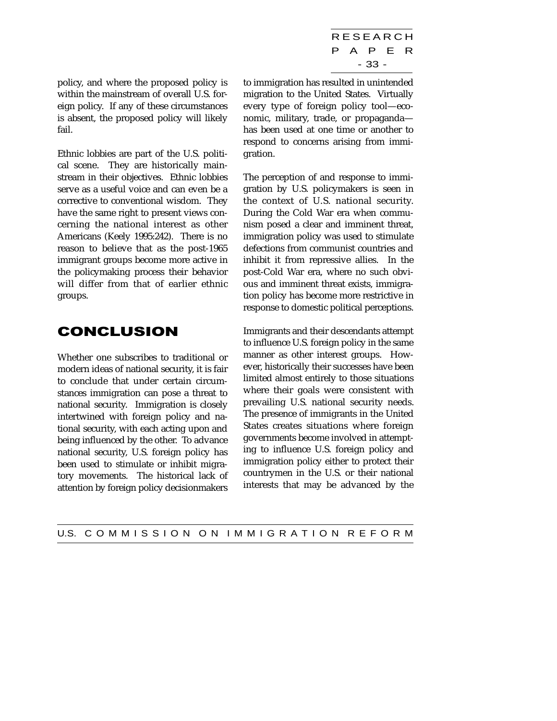RESEARCH P A P E R - 33 -

<span id="page-38-0"></span>policy, and where the proposed policy is within the mainstream of overall U.S. foreign policy. If any of these circumstances is absent, the proposed policy will likely fail.

Ethnic lobbies are part of the U.S. political scene. They are historically mainstream in their objectives. Ethnic lobbies serve as a useful voice and can even be a corrective to conventional wisdom. They have the same right to present views concerning the national interest as other Americans (Keely 1995:242). There is no reason to believe that as the post-1965 immigrant groups become more active in the policymaking process their behavior will differ from that of earlier ethnic groups.

# CONCLUSION

Whether one subscribes to traditional or modern ideas of national security, it is fair to conclude that under certain circumstances immigration can pose a threat to national security. Immigration is closely intertwined with foreign policy and national security, with each acting upon and being influenced by the other. To advance national security, U.S. foreign policy has been used to stimulate or inhibit migratory movements. The historical lack of attention by foreign policy decisionmakers

to immigration has resulted in unintended migration to the United States. Virtually every type of foreign policy tool—economic, military, trade, or propaganda has been used at one time or another to respond to concerns arising from immigration.

The perception of and response to immigration by U.S. policymakers is seen in the context of U.S. national security. During the Cold War era when communism posed a clear and imminent threat, immigration policy was used to stimulate defections from communist countries and inhibit it from repressive allies. In the post-Cold War era, where no such obvious and imminent threat exists, immigration policy has become more restrictive in response to domestic political perceptions.

Immigrants and their descendants attempt to influence U.S. foreign policy in the same manner as other interest groups. However, historically their successes have been limited almost entirely to those situations where their goals were consistent with prevailing U.S. national security needs. The presence of immigrants in the United States creates situations where foreign governments become involved in attempting to influence U.S. foreign policy and immigration policy either to protect their countrymen in the U.S. or their national interests that may be advanced by the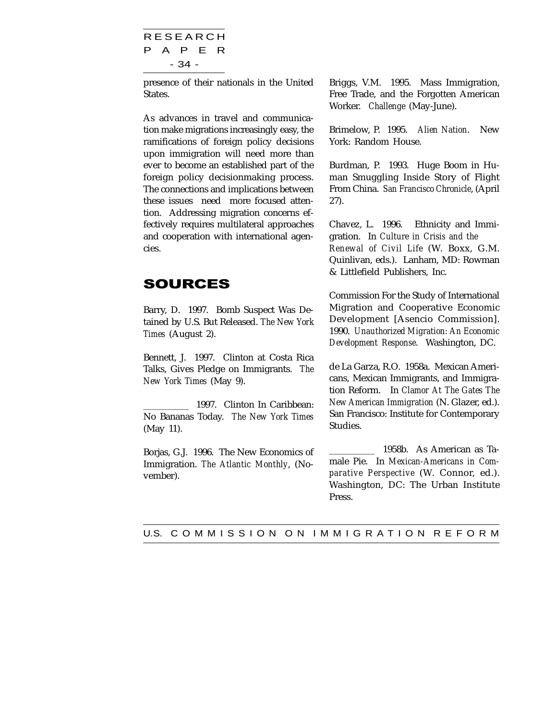<span id="page-39-0"></span>RESEARCH P A P E R - 34 -

presence of their nationals in the United States.

As advances in travel and communication make migrations increasingly easy, the ramifications of foreign policy decisions upon immigration will need more than ever to become an established part of the foreign policy decisionmaking process. The connections and implications between these issues need more focused attention. Addressing migration concerns effectively requires multilateral approaches and cooperation with international agencies.

## SOURCES

Barry, D. 1997. Bomb Suspect Was Detained by U.S. But Released. *The New York Times* (August 2).

Bennett, J. 1997. Clinton at Costa Rica Talks, Gives Pledge on Immigrants. *The New York Times* (May 9).

\_\_\_\_\_\_\_\_\_\_ 1997. Clinton In Caribbean: No Bananas Today. *The New York Times* (May 11).

Borjas, G.J. 1996. The New Economics of Immigration. *The Atlantic Monthly*, (November).

Briggs, V.M. 1995. Mass Immigration, Free Trade, and the Forgotten American Worker. *Challenge* (May-June).

Brimelow, P. 1995. *Alien Nation*. New York: Random House.

Burdman, P. 1993. Huge Boom in Human Smuggling Inside Story of Flight From China. *San Francisco Chronicle*, (April 27).

Chavez, L. 1996. Ethnicity and Immigration. In *Culture in Crisis and the Renewal of Civil Life* (W. Boxx, G.M. Quinlivan, eds.). Lanham, MD: Rowman & Littlefield Publishers, Inc.

Commission For the Study of International Migration and Cooperative Economic Development [Asencio Commission]. 1990. *Unauthorized Migration: An Economic Development Response*. Washington, DC.

de La Garza, R.O. 1958a. Mexican Americans, Mexican Immigrants, and Immigration Reform. In *Clamor At The Gates The New American Immigration* (N. Glazer, ed.). San Francisco: Institute for Contemporary Studies.

\_\_\_\_\_\_\_\_\_\_ 1958b. As American as Tamale Pie. In *Mexican-Americans in Comparative Perspective* (W. Connor, ed.). Washington, DC: The Urban Institute Press.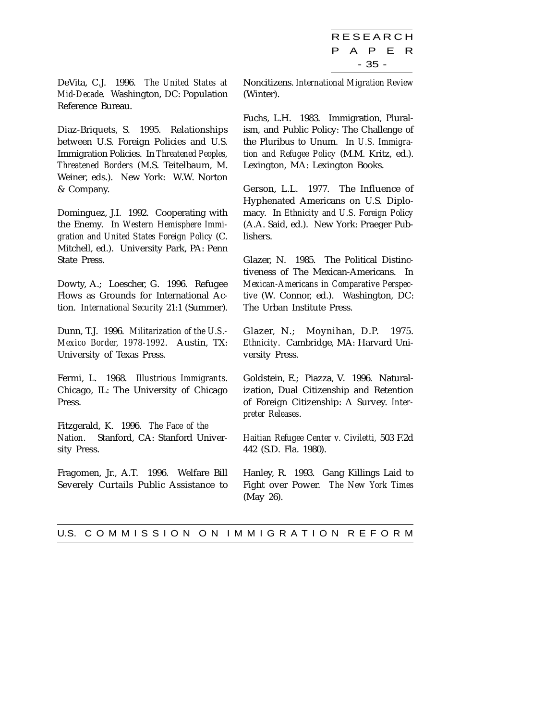RESEARCH P A P E R - 35 -

DeVita, C.J. 1996. *The United States at Mid-Decade.* Washington, DC: Population Reference Bureau.

Diaz-Briquets, S. 1995. Relationships between U.S. Foreign Policies and U.S. Immigration Policies. In *Threatened Peoples, Threatened Borders* (M.S. Teitelbaum, M. Weiner, eds.). New York: W.W. Norton & Company.

Dominguez, J.I. 1992. Cooperating with the Enemy. In *Western Hemisphere Immigration and United States Foreign Policy* (C. Mitchell, ed.). University Park, PA: Penn State Press.

Dowty, A.; Loescher, G. 1996. Refugee Flows as Grounds for International Action. *International Security* 21:1 (Summer).

Dunn, T.J. 1996. *Militarization of the U.S.- Mexico Border, 1978-1992*. Austin, TX: University of Texas Press.

Fermi, L. 1968. *Illustrious Immigrants*. Chicago, IL: The University of Chicago Press.

Fitzgerald, K. 1996. *The Face of the Nation*. Stanford, CA: Stanford University Press.

Fragomen, Jr., A.T. 1996. Welfare Bill Severely Curtails Public Assistance to

Noncitizens. *International Migration Review* (Winter).

Fuchs, L.H. 1983. Immigration, Pluralism, and Public Policy: The Challenge of the Pluribus to Unum. In *U.S. Immigration and Refugee Policy* (M.M. Kritz, ed.). Lexington, MA: Lexington Books.

Gerson, L.L. 1977. The Influence of Hyphenated Americans on U.S. Diplomacy. In *Ethnicity and U.S. Foreign Policy* (A.A. Said, ed.). New York: Praeger Publishers.

Glazer, N. 1985. The Political Distinctiveness of The Mexican-Americans. In *Mexican-Americans in Comparative Perspective* (W. Connor, ed.). Washington, DC: The Urban Institute Press.

Glazer, N.; Moynihan, D.P. 1975. *Ethnicity*. Cambridge, MA: Harvard University Press.

Goldstein, E.; Piazza, V. 1996. Naturalization, Dual Citizenship and Retention of Foreign Citizenship: A Survey. *Interpreter Releases*.

*Haitian Refugee Center v. Civiletti,* 503 F.2d 442 (S.D. Fla. 1980).

Hanley, R. 1993. Gang Killings Laid to Fight over Power. *The New York Times* (May 26).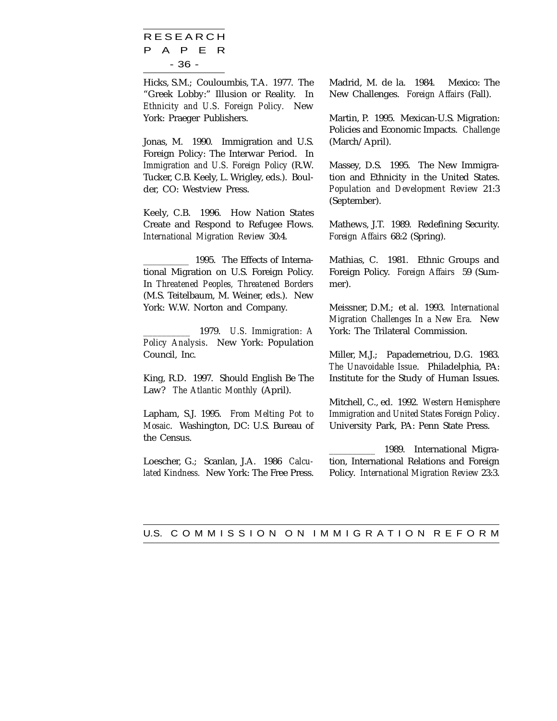RESEARCH P A P E R - 36 -

Hicks, S.M.; Couloumbis, T.A. 1977. The "Greek Lobby:" Illusion or Reality. In *Ethnicity and U.S. Foreign Policy.* New York: Praeger Publishers.

Jonas, M. 1990. Immigration and U.S. Foreign Policy: The Interwar Period. In *Immigration and U.S. Foreign Policy* (R.W. Tucker, C.B. Keely, L. Wrigley, eds.). Boulder, CO: Westview Press.

Keely, C.B. 1996. How Nation States Create and Respond to Refugee Flows. *International Migration Review* 30:4.

\_\_\_\_\_\_\_\_\_\_ 1995. The Effects of International Migration on U.S. Foreign Policy. In *Threatened Peoples, Threatened Borders* (M.S. Teitelbaum, M. Weiner, eds.). New York: W.W. Norton and Company.

\_\_\_\_\_\_\_\_\_\_ 1979. *U.S. Immigration: A Policy Analysis*. New York: Population Council, Inc.

King, R.D. 1997. Should English Be The Law? *The Atlantic Monthly* (April).

Lapham, S.J. 1995. *From Melting Pot to Mosaic*. Washington, DC: U.S. Bureau of the Census.

Loescher, G.; Scanlan, J.A. 1986 *Calculated Kindness.* New York: The Free Press.

Madrid, M. de la. 1984. Mexico: The New Challenges. *Foreign Affairs* (Fall).

Martin, P. 1995. Mexican-U.S. Migration: Policies and Economic Impacts. *Challenge* (March/April).

Massey, D.S. 1995. The New Immigration and Ethnicity in the United States. *Population and Development Review* 21:3 (September).

Mathews, J.T. 1989. Redefining Security. *Foreign Affairs* 68:2 (Spring).

Mathias, C. 1981. Ethnic Groups and Foreign Policy. *Foreign Affairs* 59 (Summer).

Meissner, D.M.; et al. 1993. *International Migration Challenges In a New Era.* New York: The Trilateral Commission.

Miller, M.J.; Papademetriou, D.G. 1983. *The Unavoidable Issue*. Philadelphia, PA: Institute for the Study of Human Issues.

Mitchell, C., ed. 1992. *Western Hemisphere Immigration and United States Foreign Policy*. University Park, PA: Penn State Press.

\_\_\_\_\_\_\_\_\_\_ 1989. International Migration, International Relations and Foreign Policy. *International Migration Review* 23:3.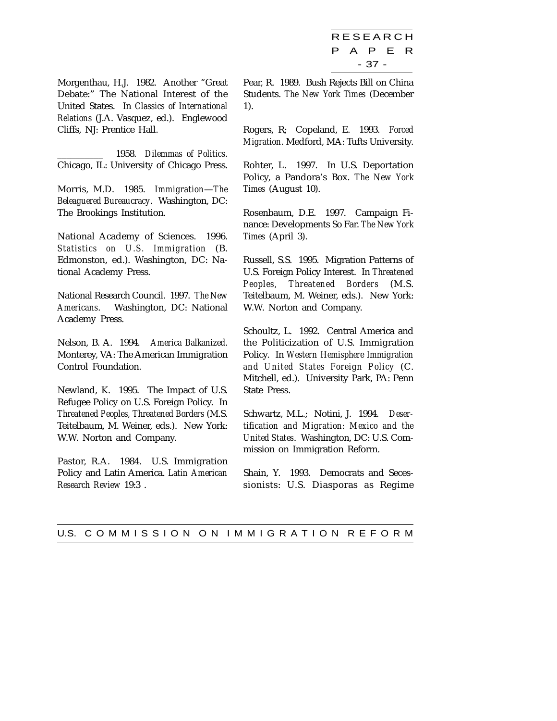RESEARCH P A P E R - 37 -

Morgenthau, H.J. 1982. Another "Great Debate:" The National Interest of the United States. In *Classics of International Relations* (J.A. Vasquez, ed.). Englewood Cliffs, NJ: Prentice Hall.

\_\_\_\_\_\_\_\_\_\_ 1958. *Dilemmas of Politics*. Chicago, IL: University of Chicago Press.

Morris, M.D. 1985. *Immigration*—*The Beleaguered Bureaucracy*. Washington, DC: The Brookings Institution.

National Academy of Sciences. 1996. *Statistics on U.S. Immigration* (B. Edmonston, ed.). Washington, DC: National Academy Press.

National Research Council. 1997. *The New Americans*. Washington, DC: National Academy Press.

Nelson, B. A. 1994. *America Balkanized*. Monterey, VA: The American Immigration Control Foundation.

Newland, K. 1995. The Impact of U.S. Refugee Policy on U.S. Foreign Policy. In *Threatened Peoples, Threatened Borders* (M.S. Teitelbaum, M. Weiner, eds.). New York: W.W. Norton and Company.

Pastor, R.A. 1984. U.S. Immigration Policy and Latin America. *Latin American Research Review* 19:3 .

Pear, R. 1989. Bush Rejects Bill on China Students. *The New York Times* (December 1).

Rogers, R; Copeland, E. 1993. *Forced Migration*. Medford, MA: Tufts University.

Rohter, L. 1997. In U.S. Deportation Policy, a Pandora's Box. *The New York Times* (August 10).

Rosenbaum, D.E. 1997. Campaign Finance: Developments So Far. *The New York Times* (April 3).

Russell, S.S. 1995. Migration Patterns of U.S. Foreign Policy Interest. In *Threatened Peoples, Threatened Borders* (M.S. Teitelbaum, M. Weiner, eds.). New York: W.W. Norton and Company.

Schoultz, L. 1992. Central America and the Politicization of U.S. Immigration Policy. In *Western Hemisphere Immigration and United States Foreign Policy* (C. Mitchell, ed.). University Park, PA: Penn State Press.

Schwartz, M.L.; Notini, J. 1994. *Desertification and Migration: Mexico and the United States*. Washington, DC: U.S. Commission on Immigration Reform.

Shain, Y. 1993. Democrats and Secessionists: U.S. Diasporas as Regime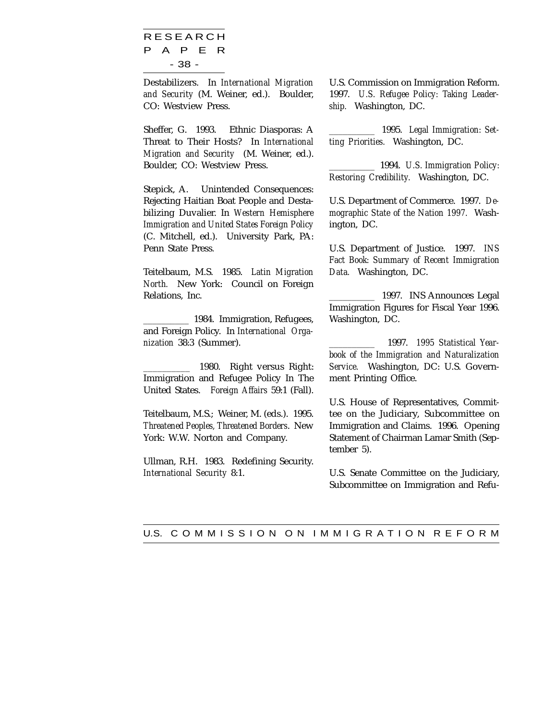RESEARCH P A P E R - 38 -

Destabilizers. In *International Migration and Security* (M. Weiner, ed.). Boulder, CO: Westview Press.

Sheffer, G. 1993. Ethnic Diasporas: A Threat to Their Hosts? In *International Migration and Security* (M. Weiner, ed.). Boulder, CO: Westview Press.

Stepick, A. Unintended Consequences: Rejecting Haitian Boat People and Destabilizing Duvalier. In *Western Hemisphere Immigration and United States Foreign Policy* (C. Mitchell, ed.). University Park, PA: Penn State Press*.*

Teitelbaum, M.S. 1985. *Latin Migration North.* New York: Council on Foreign Relations, Inc.

\_\_\_\_\_\_\_\_\_\_ 1984. Immigration, Refugees, and Foreign Policy. In *International Organization* 38:3 (Summer).

\_\_\_\_\_\_\_\_\_\_ 1980. Right versus Right: Immigration and Refugee Policy In The United States. *Foreign Affairs* 59:1 (Fall).

Teitelbaum, M.S.; Weiner, M. (eds.). 1995. *Threatened Peoples, Threatened Borders*. New York: W.W. Norton and Company.

Ullman, R.H. 1983. Redefining Security. *International Security* 8:1.

U.S. Commission on Immigration Reform. 1997. *U.S. Refugee Policy: Taking Leadership.* Washington, DC.

\_\_\_\_\_\_\_\_\_\_ 1995. *Legal Immigration: Setting Priorities.* Washington, DC.

\_\_\_\_\_\_\_\_\_\_ 1994. *U.S. Immigration Policy: Restoring Credibility.* Washington, DC.

U.S. Department of Commerce. 1997. *Demographic State of the Nation 1997.* Washington, DC.

U.S. Department of Justice. 1997. *INS Fact Book: Summary of Recent Immigration Data.* Washington, DC.

\_\_\_\_\_\_\_\_\_\_ 1997. INS Announces Legal Immigration Figures for Fiscal Year 1996. Washington, DC.

\_\_\_\_\_\_\_\_\_\_ 1997. *1995 Statistical Yearbook of the Immigration and Naturalization Service.* Washington, DC: U.S. Government Printing Office.

U.S. House of Representatives, Committee on the Judiciary, Subcommittee on Immigration and Claims. 1996. Opening Statement of Chairman Lamar Smith (September 5).

U.S. Senate Committee on the Judiciary, Subcommittee on Immigration and Refu-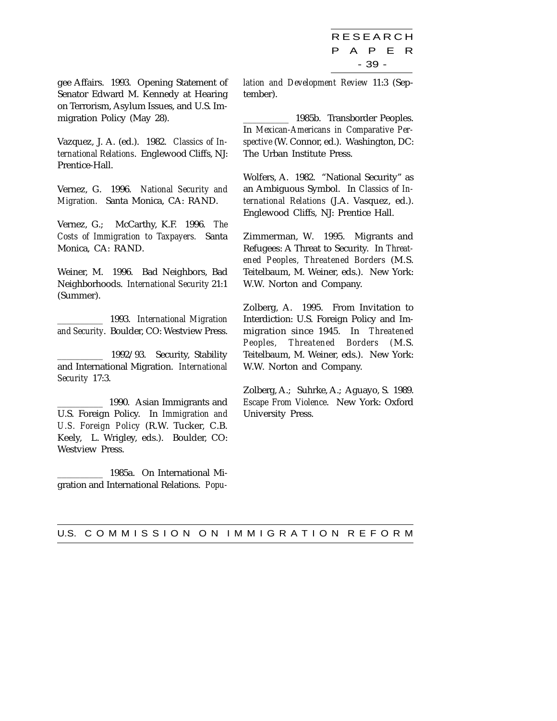RESEARCH P A P E R - 39 -

gee Affairs. 1993. Opening Statement of Senator Edward M. Kennedy at Hearing on Terrorism, Asylum Issues, and U.S. Immigration Policy (May 28).

Vazquez, J. A. (ed.). 1982. *Classics of International Relations*. Englewood Cliffs, NJ: Prentice-Hall.

Vernez, G. 1996. *National Security and Migration.* Santa Monica, CA: RAND.

Vernez, G.; McCarthy, K.F. 1996. *The Costs of Immigration to Taxpayers.* Santa Monica, CA: RAND.

Weiner, M. 1996. Bad Neighbors, Bad Neighborhoods. *International Security* 21:1 (Summer).

\_\_\_\_\_\_\_\_\_\_ 1993. *International Migration and Security*. Boulder, CO: Westview Press.

\_\_\_\_\_\_\_\_\_\_ 1992/93. Security, Stability and International Migration. *International Security* 17:3.

\_\_\_\_\_\_\_\_\_\_ 1990. Asian Immigrants and U.S. Foreign Policy. In *Immigration and U.S. Foreign Policy* (R.W. Tucker, C.B. Keely, L. Wrigley, eds.). Boulder, CO: Westview Press.

\_\_\_\_\_\_\_\_\_\_ 1985a. On International Migration and International Relations. *Popu-* *lation and Development Review* 11:3 (September).

\_\_\_\_\_\_\_\_\_\_ 1985b. Transborder Peoples. In *Mexican-Americans in Comparative Perspective* (W. Connor, ed.). Washington, DC: The Urban Institute Press.

Wolfers, A. 1982. "National Security" as an Ambiguous Symbol. In *Classics of International Relations* (J.A. Vasquez, ed.). Englewood Cliffs, NJ: Prentice Hall.

Zimmerman, W. 1995. Migrants and Refugees: A Threat to Security. In *Threatened Peoples, Threatened Borders* (M.S. Teitelbaum, M. Weiner, eds.). New York: W.W. Norton and Company.

Zolberg, A. 1995. From Invitation to Interdiction: U.S. Foreign Policy and Immigration since 1945. In *Threatened Peoples, Threatened Borders (*M.S. Teitelbaum, M. Weiner, eds.). New York: W.W. Norton and Company.

Zolberg, A.; Suhrke, A.; Aguayo, S. 1989. *Escape From Violence*. New York: Oxford University Press.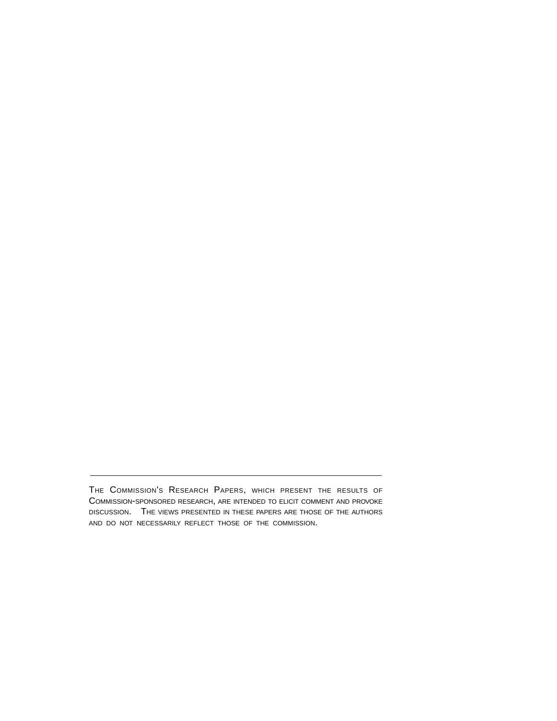THE COMMISSION'S RESEARCH PAPERS, WHICH PRESENT THE RESULTS OF COMMISSION-SPONSORED RESEARCH, ARE INTENDED TO ELICIT COMMENT AND PROVOKE DISCUSSION. THE VIEWS PRESENTED IN THESE PAPERS ARE THOSE OF THE AUTHORS AND DO NOT NECESSARILY REFLECT THOSE OF THE COMMISSION.